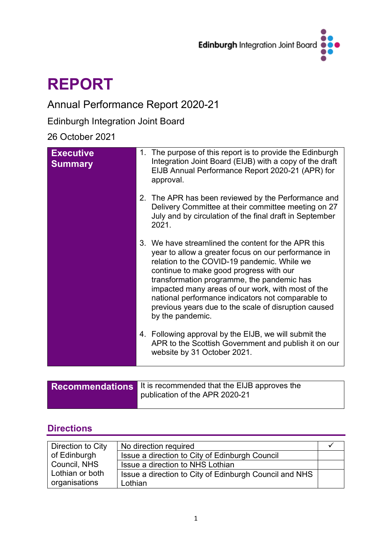

# **REPORT**

## Annual Performance Report 2020-21

Edinburgh Integration Joint Board

### 26 October 2021

| <b>Executive</b><br><b>Summary</b> | 1. The purpose of this report is to provide the Edinburgh<br>Integration Joint Board (EIJB) with a copy of the draft<br>EIJB Annual Performance Report 2020-21 (APR) for<br>approval.                                                                                                                                                                                                                                                    |
|------------------------------------|------------------------------------------------------------------------------------------------------------------------------------------------------------------------------------------------------------------------------------------------------------------------------------------------------------------------------------------------------------------------------------------------------------------------------------------|
|                                    | 2. The APR has been reviewed by the Performance and<br>Delivery Committee at their committee meeting on 27<br>July and by circulation of the final draft in September<br>2021.                                                                                                                                                                                                                                                           |
|                                    | 3. We have streamlined the content for the APR this<br>year to allow a greater focus on our performance in<br>relation to the COVID-19 pandemic. While we<br>continue to make good progress with our<br>transformation programme, the pandemic has<br>impacted many areas of our work, with most of the<br>national performance indicators not comparable to<br>previous years due to the scale of disruption caused<br>by the pandemic. |
|                                    | 4. Following approval by the EIJB, we will submit the<br>APR to the Scottish Government and publish it on our<br>website by 31 October 2021.                                                                                                                                                                                                                                                                                             |

| <b>Recommendations</b> It is recommended that the EIJB approves the<br>publication of the APR 2020-21 |
|-------------------------------------------------------------------------------------------------------|
|                                                                                                       |

### **Directions**

| Direction to City | No direction required                                  |  |
|-------------------|--------------------------------------------------------|--|
| of Edinburgh      | Issue a direction to City of Edinburgh Council         |  |
| Council, NHS      | Issue a direction to NHS Lothian                       |  |
| Lothian or both   | Issue a direction to City of Edinburgh Council and NHS |  |
| organisations     | Lothian                                                |  |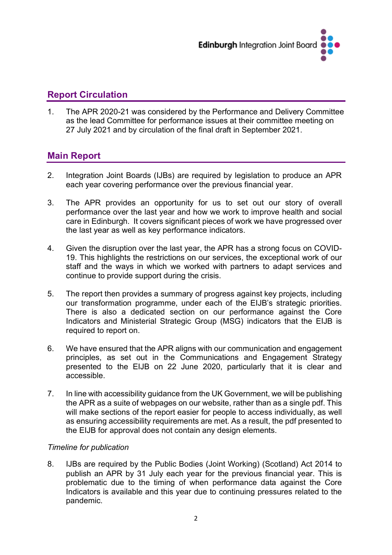

### **Report Circulation**

1. The APR 2020-21 was considered by the Performance and Delivery Committee as the lead Committee for performance issues at their committee meeting on 27 July 2021 and by circulation of the final draft in September 2021.

### **Main Report**

- 2. Integration Joint Boards (IJBs) are required by legislation to produce an APR each year covering performance over the previous financial year.
- 3. The APR provides an opportunity for us to set out our story of overall performance over the last year and how we work to improve health and social care in Edinburgh. It covers significant pieces of work we have progressed over the last year as well as key performance indicators.
- 4. Given the disruption over the last year, the APR has a strong focus on COVID-19. This highlights the restrictions on our services, the exceptional work of our staff and the ways in which we worked with partners to adapt services and continue to provide support during the crisis.
- 5. The report then provides a summary of progress against key projects, including our transformation programme, under each of the EIJB's strategic priorities. There is also a dedicated section on our performance against the Core Indicators and Ministerial Strategic Group (MSG) indicators that the EIJB is required to report on.
- 6. We have ensured that the APR aligns with our communication and engagement principles, as set out in the Communications and Engagement Strategy presented to the EIJB on 22 June 2020, particularly that it is clear and accessible.
- 7. In line with accessibility guidance from the UK Government, we will be publishing the APR as a suite of webpages on our website, rather than as a single pdf. This will make sections of the report easier for people to access individually, as well as ensuring accessibility requirements are met. As a result, the pdf presented to the EIJB for approval does not contain any design elements.

#### *Timeline for publication*

8. IJBs are required by the Public Bodies (Joint Working) (Scotland) Act 2014 to publish an APR by 31 July each year for the previous financial year. This is problematic due to the timing of when performance data against the Core Indicators is available and this year due to continuing pressures related to the pandemic.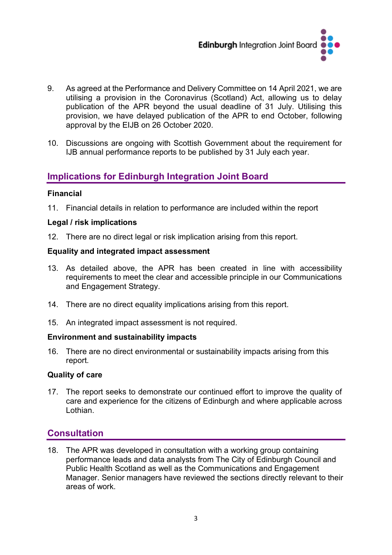

- 9. As agreed at the Performance and Delivery Committee on 14 April 2021, we are utilising a provision in the Coronavirus (Scotland) Act, allowing us to delay publication of the APR beyond the usual deadline of 31 July. Utilising this provision, we have delayed publication of the APR to end October, following approval by the EIJB on 26 October 2020.
- 10. Discussions are ongoing with Scottish Government about the requirement for IJB annual performance reports to be published by 31 July each year.

### **Implications for Edinburgh Integration Joint Board**

#### **Financial**

11. Financial details in relation to performance are included within the report

#### **Legal / risk implications**

12. There are no direct legal or risk implication arising from this report.

#### **Equality and integrated impact assessment**

- 13. As detailed above, the APR has been created in line with accessibility requirements to meet the clear and accessible principle in our Communications and Engagement Strategy.
- 14. There are no direct equality implications arising from this report.
- 15. An integrated impact assessment is not required.

#### **Environment and sustainability impacts**

16. There are no direct environmental or sustainability impacts arising from this report.

#### **Quality of care**

17. The report seeks to demonstrate our continued effort to improve the quality of care and experience for the citizens of Edinburgh and where applicable across Lothian.

#### **Consultation**

18. The APR was developed in consultation with a working group containing performance leads and data analysts from The City of Edinburgh Council and Public Health Scotland as well as the Communications and Engagement Manager. Senior managers have reviewed the sections directly relevant to their areas of work.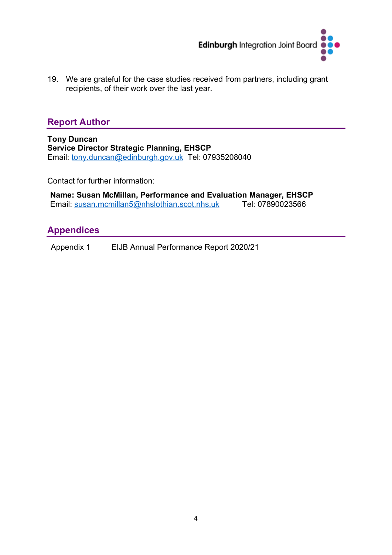

19. We are grateful for the case studies received from partners, including grant recipients, of their work over the last year.

### **Report Author**

**Tony Duncan Service Director Strategic Planning, EHSCP**  Email: [tony.duncan@edinburgh.gov.uk](mailto:tony.duncan@edinburgh.gov.uk) Tel: 07935208040

Contact for further information:

**Name: Susan McMillan, Performance and Evaluation Manager, EHSCP** Email: [susan.mcmillan5@nhslothian.scot.nhs.uk](mailto:susan.mcmillan5@nhslothian.scot.nhs.uk) Tel: 07890023566

### **Appendices**

Appendix 1 EIJB Annual Performance Report 2020/21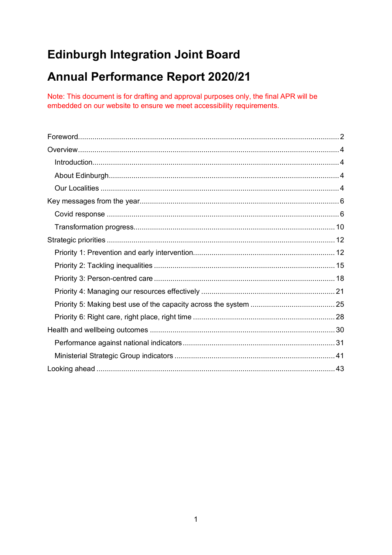## **Edinburgh Integration Joint Board**

## **Annual Performance Report 2020/21**

Note: This document is for drafting and approval purposes only, the final APR will be embedded on our website to ensure we meet accessibility requirements.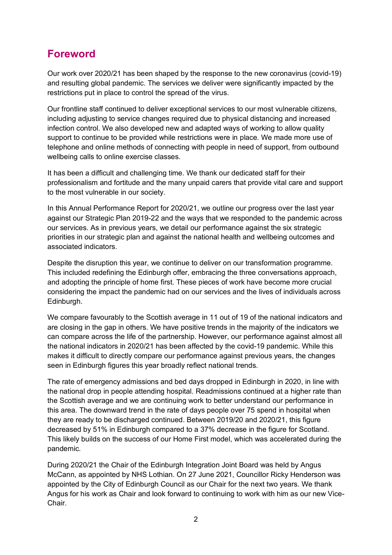## <span id="page-5-0"></span>**Foreword**

Our work over 2020/21 has been shaped by the response to the new coronavirus (covid-19) and resulting global pandemic. The services we deliver were significantly impacted by the restrictions put in place to control the spread of the virus.

Our frontline staff continued to deliver exceptional services to our most vulnerable citizens, including adjusting to service changes required due to physical distancing and increased infection control. We also developed new and adapted ways of working to allow quality support to continue to be provided while restrictions were in place. We made more use of telephone and online methods of connecting with people in need of support, from outbound wellbeing calls to online exercise classes.

It has been a difficult and challenging time. We thank our dedicated staff for their professionalism and fortitude and the many unpaid carers that provide vital care and support to the most vulnerable in our society.

In this Annual Performance Report for 2020/21, we outline our progress over the last year against our Strategic Plan 2019-22 and the ways that we responded to the pandemic across our services. As in previous years, we detail our performance against the six strategic priorities in our strategic plan and against the national health and wellbeing outcomes and associated indicators.

Despite the disruption this year, we continue to deliver on our transformation programme. This included redefining the Edinburgh offer, embracing the three conversations approach, and adopting the principle of home first. These pieces of work have become more crucial considering the impact the pandemic had on our services and the lives of individuals across Edinburgh.

We compare favourably to the Scottish average in 11 out of 19 of the national indicators and are closing in the gap in others. We have positive trends in the majority of the indicators we can compare across the life of the partnership. However, our performance against almost all the national indicators in 2020/21 has been affected by the covid-19 pandemic. While this makes it difficult to directly compare our performance against previous years, the changes seen in Edinburgh figures this year broadly reflect national trends.

The rate of emergency admissions and bed days dropped in Edinburgh in 2020, in line with the national drop in people attending hospital. Readmissions continued at a higher rate than the Scottish average and we are continuing work to better understand our performance in this area. The downward trend in the rate of days people over 75 spend in hospital when they are ready to be discharged continued. Between 2019/20 and 2020/21, this figure decreased by 51% in Edinburgh compared to a 37% decrease in the figure for Scotland. This likely builds on the success of our Home First model, which was accelerated during the pandemic.

During 2020/21 the Chair of the Edinburgh Integration Joint Board was held by Angus McCann, as appointed by NHS Lothian. On 27 June 2021, Councillor Ricky Henderson was appointed by the City of Edinburgh Council as our Chair for the next two years. We thank Angus for his work as Chair and look forward to continuing to work with him as our new Vice-Chair.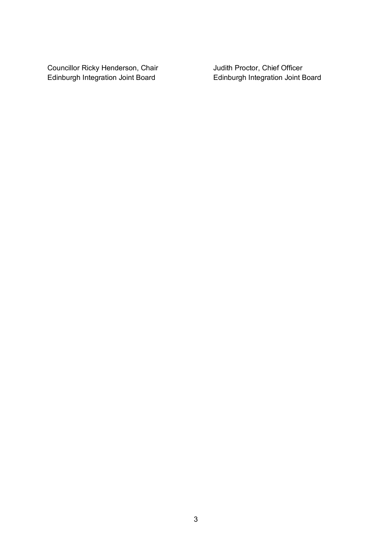Councillor Ricky Henderson, Chair **Judith Proctor, Chief Officer**<br>Edinburgh Integration Joint Board **Full Edinburgh Integration Joint Board** Edinburgh Integration Joint Board Edinburgh Integration Joint Board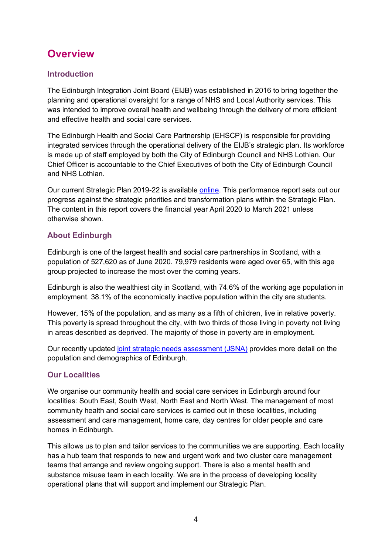## <span id="page-7-0"></span>**Overview**

### <span id="page-7-1"></span>**Introduction**

The Edinburgh Integration Joint Board (EIJB) was established in 2016 to bring together the planning and operational oversight for a range of NHS and Local Authority services. This was intended to improve overall health and wellbeing through the delivery of more efficient and effective health and social care services.

The Edinburgh Health and Social Care Partnership (EHSCP) is responsible for providing integrated services through the operational delivery of the EIJB's strategic plan. Its workforce is made up of staff employed by both the City of Edinburgh Council and NHS Lothian. Our Chief Officer is accountable to the Chief Executives of both the City of Edinburgh Council and NHS Lothian.

Our current Strategic Plan 2019-22 is available [online.](https://www.edinburghhsc.scot/wp-content/uploads/2020/01/Strategic-Plan-2019-2022-1.pdf) This performance report sets out our progress against the strategic priorities and transformation plans within the Strategic Plan. The content in this report covers the financial year April 2020 to March 2021 unless otherwise shown.

### <span id="page-7-2"></span>**About Edinburgh**

Edinburgh is one of the largest health and social care partnerships in Scotland, with a population of 527,620 as of June 2020. 79,979 residents were aged over 65, with this age group projected to increase the most over the coming years.

Edinburgh is also the wealthiest city in Scotland, with 74.6% of the working age population in employment. 38.1% of the economically inactive population within the city are students.

However, 15% of the population, and as many as a fifth of children, live in relative poverty. This poverty is spread throughout the city, with two thirds of those living in poverty not living in areas described as deprived. The majority of those in poverty are in employment.

Our recently updated [joint strategic needs assessment \(JSNA\)](https://www.edinburghhsc.scot/the-ijb/jsna/) provides more detail on the population and demographics of Edinburgh.

#### <span id="page-7-3"></span>**Our Localities**

We organise our community health and social care services in Edinburgh around four localities: South East, South West, North East and North West. The management of most community health and social care services is carried out in these localities, including assessment and care management, home care, day centres for older people and care homes in Edinburgh.

This allows us to plan and tailor services to the communities we are supporting. Each locality has a hub team that responds to new and urgent work and two cluster care management teams that arrange and review ongoing support. There is also a mental health and substance misuse team in each locality. We are in the process of developing locality operational plans that will support and implement our Strategic Plan.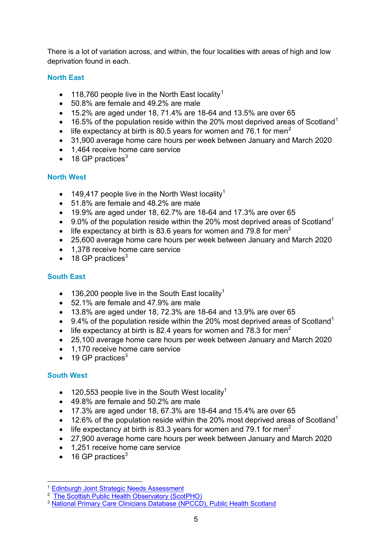There is a lot of variation across, and within, the four localities with areas of high and low deprivation found in each.

#### **North East**

- [1](#page-8-0)18,760 people live in the North East locality<sup>1</sup>
- 50.8% are female and 49.2% are male
- $\bullet$  15.2% are aged under 18, 71.4% are 18-64 and 13.5% are over 65
- 16.5% of the population reside within the 20% most deprived areas of Scotland<sup>1</sup>
- life expectancy at birth is 80.5 years for women and 76.1 for men<sup>[2](#page-8-1)</sup>
- 31,900 average home care hours per week between January and March 2020
- 1,464 receive home care service
- $\bullet$  18 GP practices<sup>[3](#page-8-2)</sup>

#### **North West**

- 149.417 people live in the North West locality<sup>1</sup>
- 51.8% are female and 48.2% are male
- $\bullet$  19.9% are aged under 18, 62.7% are 18-64 and 17.3% are over 65
- 9.0% of the population reside within the 20% most deprived areas of Scotland<sup>1</sup>
- life expectancy at birth is 83.6 years for women and 79.8 for men<sup>2</sup>
- 25,600 average home care hours per week between January and March 2020
- 1.378 receive home care service
- $\bullet$  18 GP practices<sup>3</sup>

#### **South East**

- 136,200 people live in the South East locality<sup>1</sup>
- 52.1% are female and 47.9% are male
- $\bullet$  13.8% are aged under 18, 72.3% are 18-64 and 13.9% are over 65
- 9.4% of the population reside within the 20% most deprived areas of Scotland<sup>1</sup>
- life expectancy at birth is 82.4 years for women and 78.3 for men<sup>2</sup>
- 25,100 average home care hours per week between January and March 2020
- 1,170 receive home care service
- $\bullet$  19 GP practices<sup>3</sup>

#### **South West**

- 120,553 people live in the South West locality<sup>1</sup>
- 49.8% are female and 50.2% are male
- $\bullet$  17.3% are aged under 18, 67.3% are 18-64 and 15.4% are over 65
- 12.6% of the population reside within the 20% most deprived areas of Scotland<sup>1</sup>
- life expectancy at birth is 83.3 years for women and 79.1 for men<sup>2</sup>
- 27,900 average home care hours per week between January and March 2020
- 1,251 receive home care service
- 16 GP practices<sup>3</sup>

<span id="page-8-0"></span><sup>&</sup>lt;sup>1</sup> [Edinburgh Joint Strategic Needs Assessment](https://www.edinburghhsc.scot/the-ijb/jsna/)

<span id="page-8-1"></span><sup>&</sup>lt;sup>2</sup> [The Scottish Public Health Observatory \(ScotPHO\)](https://scotland.shinyapps.io/ScotPHO_profiles_tool/)

<span id="page-8-2"></span><sup>&</sup>lt;sup>3</sup> [National Primary Care Clinicians Database \(NPCCD\), Public Health Scotland](https://www.isdscotland.org/Health-Topics/General-Practice/Workforce-and-Practice-Populations/_docs/Practice_ContactDetails_Apr2021.xlsx?12:12:21)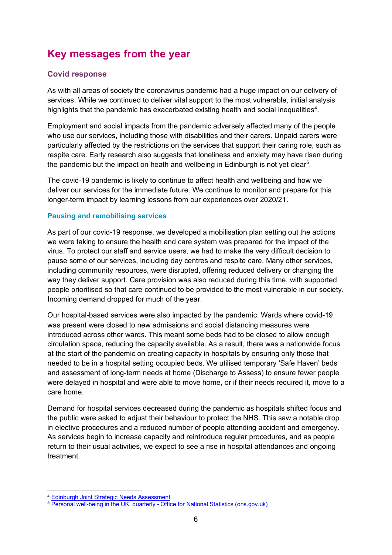## <span id="page-9-0"></span>**Key messages from the year**

#### <span id="page-9-1"></span>**Covid response**

As with all areas of society the coronavirus pandemic had a huge impact on our delivery of services. While we continued to deliver vital support to the most vulnerable, initial analysis highlights that the pandemic has exacerbated existing health and social inequalities<sup>[4](#page-9-2)</sup>.

Employment and social impacts from the pandemic adversely affected many of the people who use our services, including those with disabilities and their carers. Unpaid carers were particularly affected by the restrictions on the services that support their caring role, such as respite care. Early research also suggests that loneliness and anxiety may have risen during the pandemic but the impact on heath and wellbeing in Edinburgh is not yet clear<sup>[5](#page-9-3)</sup>.

The covid-19 pandemic is likely to continue to affect health and wellbeing and how we deliver our services for the immediate future. We continue to monitor and prepare for this longer-term impact by learning lessons from our experiences over 2020/21.

#### **Pausing and remobilising services**

As part of our covid-19 response, we developed a mobilisation plan setting out the actions we were taking to ensure the health and care system was prepared for the impact of the virus. To protect our staff and service users, we had to make the very difficult decision to pause some of our services, including day centres and respite care. Many other services, including community resources, were disrupted, offering reduced delivery or changing the way they deliver support. Care provision was also reduced during this time, with supported people prioritised so that care continued to be provided to the most vulnerable in our society. Incoming demand dropped for much of the year.

Our hospital-based services were also impacted by the pandemic. Wards where covid-19 was present were closed to new admissions and social distancing measures were introduced across other wards. This meant some beds had to be closed to allow enough circulation space, reducing the capacity available. As a result, there was a nationwide focus at the start of the pandemic on creating capacity in hospitals by ensuring only those that needed to be in a hospital setting occupied beds. We utilised temporary 'Safe Haven' beds and assessment of long-term needs at home (Discharge to Assess) to ensure fewer people were delayed in hospital and were able to move home, or if their needs required it, move to a care home.

Demand for hospital services decreased during the pandemic as hospitals shifted focus and the public were asked to adjust their behaviour to protect the NHS. This saw a notable drop in elective procedures and a reduced number of people attending accident and emergency. As services begin to increase capacity and reintroduce regular procedures, and as people return to their usual activities, we expect to see a rise in hospital attendances and ongoing treatment.

<span id="page-9-2"></span><sup>4</sup> Edinburgh [Joint Strategic Needs Assessment](https://www.edinburghhsc.scot/the-ijb/jsna/)

<span id="page-9-3"></span><sup>5</sup> [Personal well-being in the UK, quarterly -](https://www.ons.gov.uk/peoplepopulationandcommunity/wellbeing/bulletins/personalwellbeingintheukquarterly/april2011toseptember2020) Office for National Statistics (ons.gov.uk)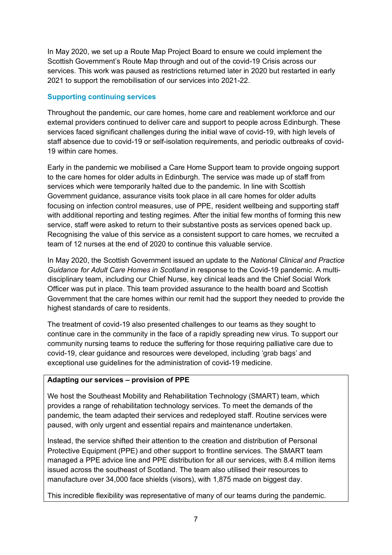In May 2020, we set up a Route Map Project Board to ensure we could implement the Scottish Government's Route Map through and out of the covid-19 Crisis across our services. This work was paused as restrictions returned later in 2020 but restarted in early 2021 to support the remobilisation of our services into 2021-22.

#### **Supporting continuing services**

Throughout the pandemic, our care homes, home care and reablement workforce and our external providers continued to deliver care and support to people across Edinburgh. These services faced significant challenges during the initial wave of covid-19, with high levels of staff absence due to covid-19 or self-isolation requirements, and periodic outbreaks of covid-19 within care homes.

Early in the pandemic we mobilised a Care Home Support team to provide ongoing support to the care homes for older adults in Edinburgh. The service was made up of staff from services which were temporarily halted due to the pandemic. In line with Scottish Government guidance, assurance visits took place in all care homes for older adults focusing on infection control measures, use of PPE, resident wellbeing and supporting staff with additional reporting and testing regimes. After the initial few months of forming this new service, staff were asked to return to their substantive posts as services opened back up. Recognising the value of this service as a consistent support to care homes, we recruited a team of 12 nurses at the end of 2020 to continue this valuable service.

In May 2020, the Scottish Government issued an update to the *National Clinical and Practice Guidance for Adult Care Homes in Scotland* in response to the Covid-19 pandemic. A multidisciplinary team, including our Chief Nurse, key clinical leads and the Chief Social Work Officer was put in place. This team provided assurance to the health board and Scottish Government that the care homes within our remit had the support they needed to provide the highest standards of care to residents.

The treatment of covid-19 also presented challenges to our teams as they sought to continue care in the community in the face of a rapidly spreading new virus. To support our community nursing teams to reduce the suffering for those requiring palliative care due to covid-19, clear guidance and resources were developed, including 'grab bags' and exceptional use guidelines for the administration of covid-19 medicine.

#### **Adapting our services – provision of PPE**

We host the Southeast Mobility and Rehabilitation Technology (SMART) team, which provides a range of rehabilitation technology services. To meet the demands of the pandemic, the team adapted their services and redeployed staff. Routine services were paused, with only urgent and essential repairs and maintenance undertaken.

Instead, the service shifted their attention to the creation and distribution of Personal Protective Equipment (PPE) and other support to frontline services. The SMART team managed a PPE advice line and PPE distribution for all our services, with 8.4 million items issued across the southeast of Scotland. The team also utilised their resources to manufacture over 34,000 face shields (visors), with 1,875 made on biggest day.

This incredible flexibility was representative of many of our teams during the pandemic.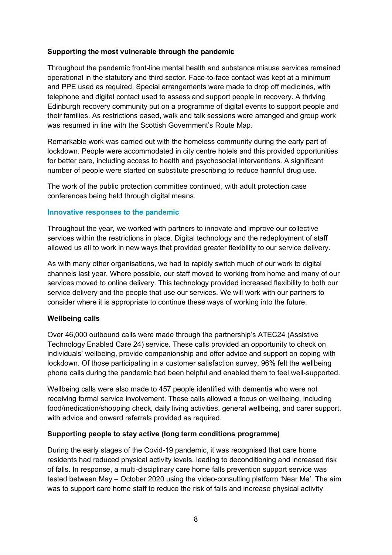#### <span id="page-11-0"></span>**Supporting the most vulnerable through the pandemic**

Throughout the pandemic front-line mental health and substance misuse services remained operational in the statutory and third sector. Face-to-face contact was kept at a minimum and PPE used as required. Special arrangements were made to drop off medicines, with telephone and digital contact used to assess and support people in recovery. A thriving Edinburgh recovery community put on a programme of digital events to support people and their families. As restrictions eased, walk and talk sessions were arranged and group work was resumed in line with the Scottish Government's Route Map.

Remarkable work was carried out with the homeless community during the early part of lockdown. People were accommodated in city centre hotels and this provided opportunities for better care, including access to health and psychosocial interventions. A significant number of people were started on substitute prescribing to reduce harmful drug use.

The work of the public protection committee continued, with adult protection case conferences being held through digital means.

#### **Innovative responses to the pandemic**

Throughout the year, we worked with partners to innovate and improve our collective services within the restrictions in place. Digital technology and the redeployment of staff allowed us all to work in new ways that provided greater flexibility to our service delivery.

As with many other organisations, we had to rapidly switch much of our work to digital channels last year. Where possible, our staff moved to working from home and many of our services moved to online delivery. This technology provided increased flexibility to both our service delivery and the people that use our services. We will work with our partners to consider where it is appropriate to continue these ways of working into the future.

#### **Wellbeing calls**

Over 46,000 outbound calls were made through the partnership's ATEC24 (Assistive Technology Enabled Care 24) service. These calls provided an opportunity to check on individuals' wellbeing, provide companionship and offer advice and support on coping with lockdown. Of those participating in a customer satisfaction survey, 96% felt the wellbeing phone calls during the pandemic had been helpful and enabled them to feel well-supported.

Wellbeing calls were also made to 457 people identified with dementia who were not receiving formal service involvement. These calls allowed a focus on wellbeing, including food/medication/shopping check, daily living activities, general wellbeing, and carer support, with advice and onward referrals provided as required.

#### **Supporting people to stay active (long term conditions programme)**

During the early stages of the Covid-19 pandemic, it was recognised that care home residents had reduced physical activity levels, leading to deconditioning and increased risk of falls. In response, a multi-disciplinary care home falls prevention support service was tested between May – October 2020 using the video-consulting platform ['Near Me'.](https://www.nearme.scot/) The aim was to support care home staff to reduce the risk of falls and increase physical activity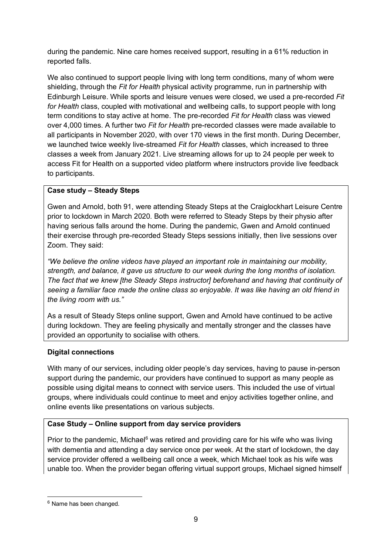during the pandemic. Nine care homes received support, resulting in a 61% reduction in reported falls.

We also continued to support people living with long term conditions, many of whom were shielding, through the *Fit for Health* physical activity programme, run in partnership with Edinburgh Leisure. While sports and leisure venues were closed, we used a pre-recorded *Fit for Health* class, coupled with motivational and wellbeing calls, to support people with long term conditions to stay active at home. The pre-recorded *Fit for Health* class was viewed over 4,000 times. A further two *Fit for Health* pre-recorded classes were made available to all participants in November 2020, with over 170 views in the first month. During December, we launched twice weekly live-streamed *Fit for Health* classes, which increased to three classes a week from January 2021. Live streaming allows for up to 24 people per week to access Fit for Health on a supported video platform where instructors provide live feedback to participants.

#### **Case study – Steady Steps**

Gwen and Arnold, both 91, were attending Steady Steps at the Craiglockhart Leisure Centre prior to lockdown in March 2020. Both were referred to Steady Steps by their physio after having serious falls around the home. During the pandemic, Gwen and Arnold continued their exercise through pre-recorded Steady Steps sessions initially, then live sessions over Zoom. They said:

*"We believe the online videos have played an important role in maintaining our mobility, strength, and balance, it gave us structure to our week during the long months of isolation. The fact that we knew [the Steady Steps instructor] beforehand and having that continuity of seeing a familiar face made the online class so enjoyable. It was like having an old friend in the living room with us."*

As a result of Steady Steps online support, Gwen and Arnold have continued to be active during lockdown. They are feeling physically and mentally stronger and the classes have provided an opportunity to socialise with others.

#### **Digital connections**

With many of our services, including older people's day services, having to pause in-person support during the pandemic, our providers have continued to support as many people as possible using digital means to connect with service users. This included the use of virtual groups, where individuals could continue to meet and enjoy activities together online, and online events like presentations on various subjects.

#### **Case Study – Online support from day service providers**

Prior to the pandemic, Michael<sup>[6](#page-12-0)</sup> was retired and providing care for his wife who was living with dementia and attending a day service once per week. At the start of lockdown, the day service provider offered a wellbeing call once a week, which Michael took as his wife was unable too. When the provider began offering virtual support groups, Michael signed himself

<span id="page-12-0"></span><sup>&</sup>lt;sup>6</sup> Name has been changed.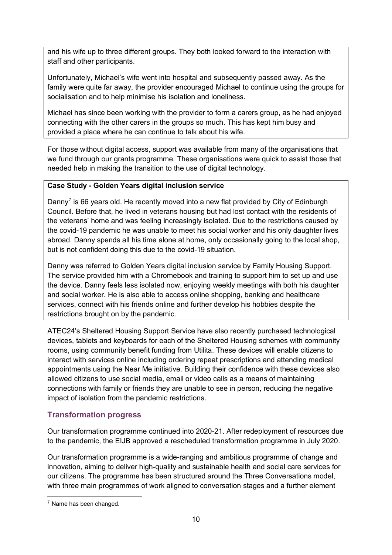and his wife up to three different groups. They both looked forward to the interaction with staff and other participants.

Unfortunately, Michael's wife went into hospital and subsequently passed away. As the family were quite far away, the provider encouraged Michael to continue using the groups for socialisation and to help minimise his isolation and loneliness.

Michael has since been working with the provider to form a carers group, as he had enjoyed connecting with the other carers in the groups so much. This has kept him busy and provided a place where he can continue to talk about his wife.

For those without digital access, support was available from many of the organisations that we fund through our grants programme. These organisations were quick to assist those that needed help in making the transition to the use of digital technology.

#### **Case Study - Golden Years digital inclusion service**

Danny<sup>[7](#page-13-1)</sup> is 66 years old. He recently moved into a new flat provided by City of Edinburgh Council. Before that, he lived in veterans housing but had lost contact with the residents of the veterans' home and was feeling increasingly isolated. Due to the restrictions caused by the covid-19 pandemic he was unable to meet his social worker and his only daughter lives abroad. Danny spends all his time alone at home, only occasionally going to the local shop, but is not confident doing this due to the covid-19 situation.

Danny was referred to Golden Years digital inclusion service by Family Housing Support. The service provided him with a Chromebook and training to support him to set up and use the device. Danny feels less isolated now, enjoying weekly meetings with both his daughter and social worker. He is also able to access online shopping, banking and healthcare services, connect with his friends online and further develop his hobbies despite the restrictions brought on by the pandemic.

ATEC24's Sheltered Housing Support Service have also recently purchased technological devices, tablets and keyboards for each of the Sheltered Housing schemes with community rooms, using community benefit funding from Utilita. These devices will enable citizens to interact with services online including ordering repeat prescriptions and attending medical appointments using the Near Me initiative. Building their confidence with these devices also allowed citizens to use social media, email or video calls as a means of maintaining connections with family or friends they are unable to see in person, reducing the negative impact of isolation from the pandemic restrictions.

#### <span id="page-13-0"></span>**Transformation progress**

Our transformation programme continued into 2020-21. After redeployment of resources due to the pandemic, the EIJB approved a rescheduled transformation programme in July 2020.

Our transformation programme is a wide-ranging and ambitious programme of change and innovation, aiming to deliver high-quality and sustainable health and social care services for our citizens. The programme has been structured around the Three Conversations model, with three main programmes of work aligned to conversation stages and a further element

<span id="page-13-1"></span><sup>7</sup> Name has been changed.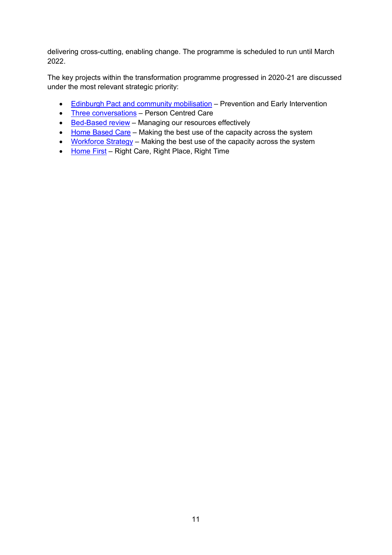delivering cross-cutting, enabling change. The programme is scheduled to run until March 2022.

The key projects within the transformation programme progressed in 2020-21 are discussed under the most relevant strategic priority:

- [Edinburgh Pact and community mobilisation](#page-15-2) Prevention and Early Intervention
- [Three conversations](#page-21-1) Person Centred Care
- [Bed-Based review](#page-24-1) Managing our resources effectively
- [Home Based Care](#page-29-0) Making the best use of the capacity across the system
- [Workforce Strategy](#page-28-1) Making the best use of the capacity across the system
- [Home First](#page-31-1) Right Care, Right Place, Right Time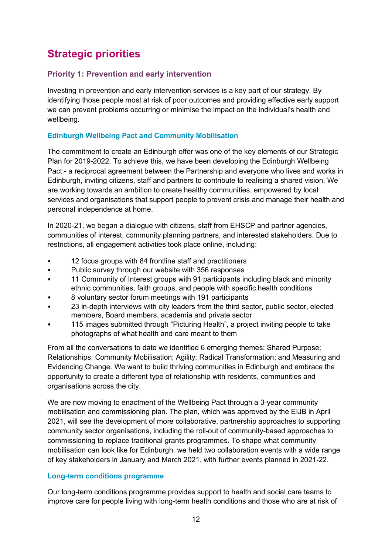## <span id="page-15-0"></span>**Strategic priorities**

### <span id="page-15-1"></span>**Priority 1: Prevention and early intervention**

Investing in prevention and early intervention services is a key part of our strategy. By identifying those people most at risk of poor outcomes and providing effective early support we can prevent problems occurring or minimise the impact on the individual's health and wellbeing.

#### <span id="page-15-2"></span>**Edinburgh Wellbeing Pact and Community Mobilisation**

The commitment to create an Edinburgh offer was one of the key elements of our Strategic Plan for 2019-2022. To achieve this, we have been developing the Edinburgh Wellbeing Pact - a reciprocal agreement between the Partnership and everyone who lives and works in Edinburgh, inviting citizens, staff and partners to contribute to realising a shared vision. We are working towards an ambition to create healthy communities, empowered by local services and organisations that support people to prevent crisis and manage their health and personal independence at home.

In 2020-21, we began a dialogue with citizens, staff from EHSCP and partner agencies, communities of interest, community planning partners, and interested stakeholders. Due to restrictions, all engagement activities took place online, including:

- 12 focus groups with 84 frontline staff and practitioners
- Public survey through our website with 356 responses
- 11 Community of Interest groups with 91 participants including black and minority ethnic communities, faith groups, and people with specific health conditions
- 8 voluntary sector forum meetings with 191 participants
- 23 in-depth interviews with city leaders from the third sector, public sector, elected members, Board members, academia and private sector
- 115 images submitted through "Picturing Health", a project inviting people to take photographs of what health and care meant to them

From all the conversations to date we identified 6 emerging themes: Shared Purpose; Relationships; Community Mobilisation; Agility; Radical Transformation; and Measuring and Evidencing Change. We want to build thriving communities in Edinburgh and embrace the opportunity to create a different type of relationship with residents, communities and organisations across the city.

We are now moving to enactment of the Wellbeing Pact through a 3-year community mobilisation and commissioning plan. The plan, which was approved by the EIJB in April 2021, will see the development of more collaborative, partnership approaches to supporting community sector organisations, including the roll-out of community-based approaches to commissioning to replace traditional grants programmes. To shape what community mobilisation can look like for Edinburgh, we held two collaboration events with a wide range of key stakeholders in January and March 2021, with further events planned in 2021-22.

#### **Long-term conditions programme**

Our long-term conditions programme provides support to health and social care teams to improve care for people living with long-term health conditions and those who are at risk of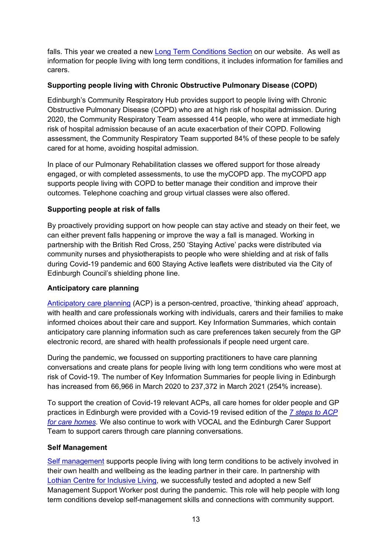falls. This year we created a new [Long Term Conditions Section](https://www.edinburghhsc.scot/longtermconditions/) on our website. As well as information for people living with long term conditions, it includes information for families and carers.

#### **Supporting people living with Chronic Obstructive Pulmonary Disease (COPD)**

Edinburgh's Community Respiratory Hub provides support to people living with Chronic Obstructive Pulmonary Disease (COPD) who are at high risk of hospital admission. During 2020, the Community Respiratory Team assessed 414 people, who were at immediate high risk of hospital admission because of an acute exacerbation of their COPD. Following assessment, the Community Respiratory Team supported 84% of these people to be safely cared for at home, avoiding hospital admission.

In place of our Pulmonary Rehabilitation classes we offered support for those already engaged, or with completed assessments, to use the myCOPD app. The myCOPD app supports people living with COPD to better manage their condition and improve their outcomes. Telephone coaching and group virtual classes were also offered.

#### **Supporting people at risk of falls**

By proactively providing support on how people can stay active and steady on their feet, we can either prevent falls happening or improve the way a fall is managed. Working in partnership with the British Red Cross, 250 'Staying Active' packs were distributed via community nurses and physiotherapists to people who were shielding and at risk of falls during Covid-19 pandemic and 600 Staying Active leaflets were distributed via the City of Edinburgh Council's shielding phone line.

#### **Anticipatory care planning**

[Anticipatory care planning](https://www.edinburghhsc.scot/longtermconditions/anticipatorycareplanning/) (ACP) is a person-centred, proactive, 'thinking ahead' approach, with health and care professionals working with individuals, carers and their families to make informed choices about their care and support. Key Information Summaries, which contain anticipatory care planning information such as care preferences taken securely from the GP electronic record, are shared with health professionals if people need urgent care.

During the pandemic, we focussed on supporting practitioners to have care planning conversations and create plans for people living with long term conditions who were most at risk of Covid-19. The number of Key Information Summaries for people living in Edinburgh has increased from 66,966 in March 2020 to 237,372 in March 2021 (254% increase).

To support the creation of Covid-19 relevant ACPs, all care homes for older people and GP practices in Edinburgh were provided with a Covid-19 revised edition of the *[7 steps to ACP](https://services.nhslothian.scot/CareHomes/SupportingResidentsNeeds/Services/Documents/Creating%20Covid-19%20relevant%20ACPs%20in%20Care%20Homes%207%20steps%20to%20ACP%20implementation%20Guidance%20v1.3.pdf)  [for care homes](https://services.nhslothian.scot/CareHomes/SupportingResidentsNeeds/Services/Documents/Creating%20Covid-19%20relevant%20ACPs%20in%20Care%20Homes%207%20steps%20to%20ACP%20implementation%20Guidance%20v1.3.pdf)*. We also continue to work with VOCAL and the Edinburgh Carer Support Team to support carers through care planning conversations.

#### **Self Management**

[Self management](https://www.edinburghhsc.scot/longtermconditions/self-management/) supports people living with long term conditions to be actively involved in their own health and wellbeing as the leading partner in their care. In partnership [with](https://www.lothiancil.org.uk/) [Lothian Centre for Inclusive Living,](https://www.lothiancil.org.uk/) we successfully tested and adopted a new Self Management Support Worker post during the pandemic. This role will help people with long term conditions develop self-management skills and connections with community support.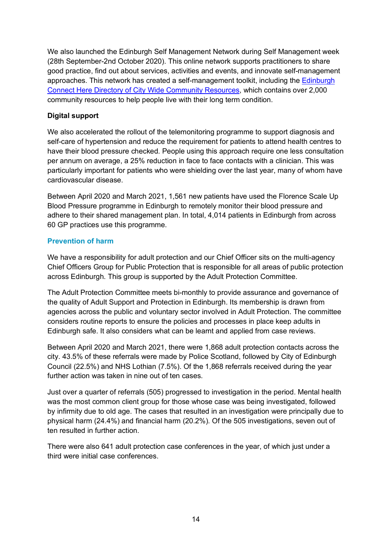We also launched the Edinburgh Self Management Network during Self Management week (28th September-2nd October 2020). This online network supports practitioners to share good practice, find out about services, activities and events, and innovate self-management approaches. This network has created a self-management toolkit, including the [Edinburgh](https://www.edinburghhsc.scot/wp-content/uploads/2021/03/Connect-Here-Directory-of-Community-Resources-10_03.pdf)  [Connect Here Directory of City Wide Community Resources,](https://www.edinburghhsc.scot/wp-content/uploads/2021/03/Connect-Here-Directory-of-Community-Resources-10_03.pdf) which contains over 2,000 community resources to help people live with their long term condition.

#### **Digital support**

We also accelerated the rollout of the telemonitoring programme to support diagnosis and self-care of hypertension and reduce the requirement for patients to attend health centres to have their blood pressure checked. People using this approach require one less consultation per annum on average, a 25% reduction in face to face contacts with a clinician. This was particularly important for patients who were shielding over the last year, many of whom have cardiovascular disease.

Between April 2020 and March 2021, 1,561 new patients have used the Florence Scale Up Blood Pressure programme in Edinburgh to remotely monitor their blood pressure and adhere to their shared management plan. In total, 4,014 patients in Edinburgh from across 60 GP practices use this programme.

#### **Prevention of harm**

We have a responsibility for adult protection and our Chief Officer sits on the multi-agency Chief Officers Group for Public Protection that is responsible for all areas of public protection across Edinburgh. This group is supported by the Adult Protection Committee.

The Adult Protection Committee meets bi-monthly to provide assurance and governance of the quality of Adult Support and Protection in Edinburgh. Its membership is drawn from agencies across the public and voluntary sector involved in Adult Protection. The committee considers routine reports to ensure the policies and processes in place keep adults in Edinburgh safe. It also considers what can be learnt and applied from case reviews.

Between April 2020 and March 2021, there were 1,868 adult protection contacts across the city. 43.5% of these referrals were made by Police Scotland, followed by City of Edinburgh Council (22.5%) and NHS Lothian (7.5%). Of the 1,868 referrals received during the year further action was taken in nine out of ten cases.

Just over a quarter of referrals (505) progressed to investigation in the period. Mental health was the most common client group for those whose case was being investigated, followed by infirmity due to old age. The cases that resulted in an investigation were principally due to physical harm (24.4%) and financial harm (20.2%). Of the 505 investigations, seven out of ten resulted in further action

There were also 641 adult protection case conferences in the year, of which just under a third were initial case conferences.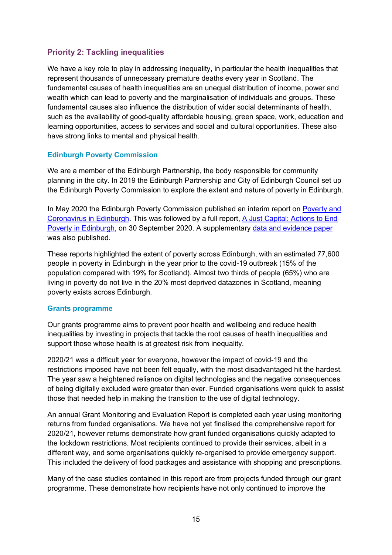#### <span id="page-18-0"></span>**Priority 2: Tackling inequalities**

We have a key role to play in addressing inequality, in particular the health inequalities that represent thousands of unnecessary premature deaths every year in Scotland. The fundamental causes of health inequalities are an unequal distribution of income, power and wealth which can lead to poverty and the marginalisation of individuals and groups. These fundamental causes also influence the distribution of wider social determinants of health, such as the availability of good-quality affordable housing, green space, work, education and learning opportunities, access to services and social and cultural opportunities. These also have strong links to mental and physical health.

#### **Edinburgh Poverty Commission**

We are a member of the Edinburgh Partnership, the body responsible for community planning in the city. In 2019 the Edinburgh Partnership and City of Edinburgh Council set up the Edinburgh Poverty Commission to explore the extent and nature of poverty in Edinburgh.

In May 2020 the Edinburgh Poverty Commission published an interim report on [Poverty and](https://edinburghpovertycommission.org.uk/wp-content/uploads/2020/05/20200519_EPC_Coronavirus_Report.pdf)  Coronavirus [in Edinburgh.](https://edinburghpovertycommission.org.uk/wp-content/uploads/2020/05/20200519_EPC_Coronavirus_Report.pdf) This was followed by a full report, [A Just Capital: Actions to End](https://edinburghpovertycommission.org.uk/wp-content/uploads/2020/09/20200930_EPC_FinalReport_AJustCapital.pdf)  [Poverty in Edinburgh,](https://edinburghpovertycommission.org.uk/wp-content/uploads/2020/09/20200930_EPC_FinalReport_AJustCapital.pdf) on 30 September 2020. A supplementary [data and evidence paper](https://edinburghpovertycommission.org.uk/wp-content/uploads/2020/09/20200930_Poverty_in_Edinburgh-Data_and_evidence.pdf) was also published.

These reports highlighted the extent of poverty across Edinburgh, with an estimated 77,600 people in poverty in Edinburgh in the year prior to the covid-19 outbreak (15% of the population compared with 19% for Scotland). Almost two thirds of people (65%) who are living in poverty do not live in the 20% most deprived datazones in Scotland, meaning poverty exists across Edinburgh.

#### **Grants programme**

Our grants programme aims to prevent poor health and wellbeing and reduce health inequalities by investing in projects that tackle the root causes of health inequalities and support those whose health is at greatest risk from inequality.

2020/21 was a difficult year for everyone, however the impact of covid-19 and the restrictions imposed have not been felt equally, with the most disadvantaged hit the hardest. The year saw a heightened reliance on digital technologies and the negative consequences of being digitally excluded were greater than ever. Funded organisations were quick to assist those that needed help in making the transition to the use of digital technology.

An annual Grant Monitoring and Evaluation Report is completed each year using monitoring returns from funded organisations. We have not yet finalised the comprehensive report for 2020/21, however returns demonstrate how grant funded organisations quickly adapted to the lockdown restrictions. Most recipients continued to provide their services, albeit in a different way, and some organisations quickly re-organised to provide emergency support. This included the delivery of food packages and assistance with shopping and prescriptions.

Many of the case studies contained in this report are from projects funded through our grant programme. These demonstrate how recipients have not only continued to improve the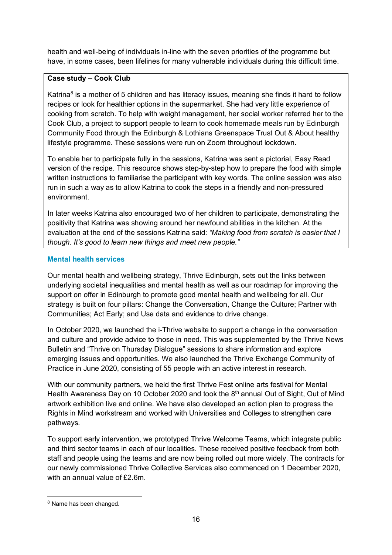health and well-being of individuals in-line with the seven priorities of the programme but have, in some cases, been lifelines for many vulnerable individuals during this difficult time.

#### **Case study – Cook Club**

Katrina<sup>[8](#page-19-0)</sup> is a mother of 5 children and has literacy issues, meaning she finds it hard to follow recipes or look for healthier options in the supermarket. She had very little experience of cooking from scratch. To help with weight management, her social worker referred her to the Cook Club, a project to support people to learn to cook homemade meals run by Edinburgh Community Food through the Edinburgh & Lothians Greenspace Trust Out & About healthy lifestyle programme. These sessions were run on Zoom throughout lockdown.

To enable her to participate fully in the sessions, Katrina was sent a pictorial, Easy Read version of the recipe. This resource shows step-by-step how to prepare the food with simple written instructions to familiarise the participant with key words. The online session was also run in such a way as to allow Katrina to cook the steps in a friendly and non-pressured environment.

In later weeks Katrina also encouraged two of her children to participate, demonstrating the positivity that Katrina was showing around her newfound abilities in the kitchen. At the evaluation at the end of the sessions Katrina said: *"Making food from scratch is easier that I though. It's good to learn new things and meet new people."*

#### **Mental health services**

Our mental health and wellbeing strategy, Thrive Edinburgh, sets out the links between underlying societal inequalities and mental health as well as our roadmap for improving the support on offer in Edinburgh to promote good mental health and wellbeing for all. Our strategy is built on four pillars: Change the Conversation, Change the Culture; Partner with Communities; Act Early; and Use data and evidence to drive change.

In October 2020, we launched the i-Thrive website to support a change in the conversation and culture and provide advice to those in need. This was supplemented by the Thrive News Bulletin and "Thrive on Thursday Dialogue" sessions to share information and explore emerging issues and opportunities. We also launched the Thrive Exchange Community of Practice in June 2020, consisting of 55 people with an active interest in research.

With our community partners, we held the first Thrive Fest online arts festival for Mental Health Awareness Day on 10 October 2020 and took the  $8<sup>th</sup>$  annual Out of Sight, Out of Mind artwork exhibition live and online. We have also developed an action plan to progress the Rights in Mind workstream and worked with Universities and Colleges to strengthen care pathways.

To support early intervention, we prototyped Thrive Welcome Teams, which integrate public and third sector teams in each of our localities. These received positive feedback from both staff and people using the teams and are now being rolled out more widely. The contracts for our newly commissioned Thrive Collective Services also commenced on 1 December 2020, with an annual value of £2.6m.

<span id="page-19-0"></span><sup>8</sup> Name has been changed.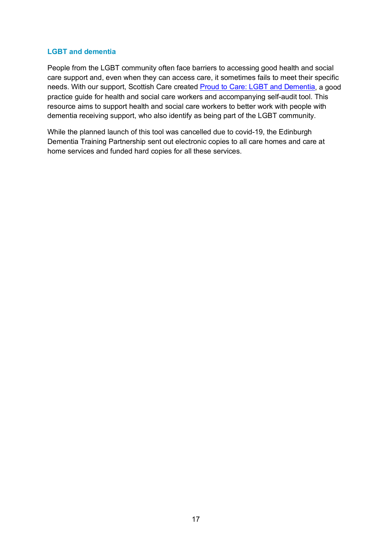#### **LGBT and dementia**

People from the LGBT community often face barriers to accessing good health and social care support and, even when they can access care, it sometimes fails to meet their specific needs. With our support, Scottish Care created [Proud to Care: LGBT and Dementia,](https://scottishcare.org/proud-to-care-lgbt-and-dementia/) a good practice guide for health and social care workers and accompanying self-audit tool. This resource aims to support health and social care workers to better work with people with dementia receiving support, who also identify as being part of the LGBT community.

While the planned launch of this tool was cancelled due to covid-19, the Edinburgh Dementia Training Partnership sent out electronic copies to all care homes and care at home services and funded hard copies for all these services.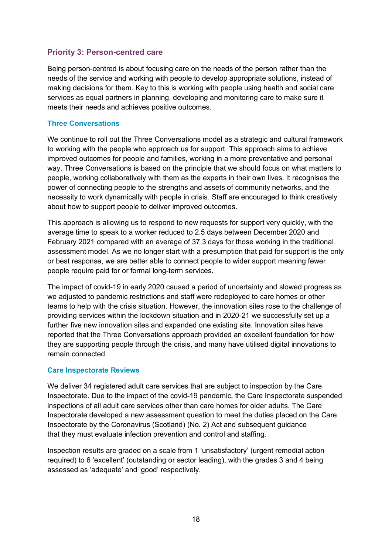#### <span id="page-21-0"></span>**Priority 3: Person-centred care**

Being person-centred is about focusing care on the needs of the person rather than the needs of the service and working with people to develop appropriate solutions, instead of making decisions for them. Key to this is working with people using health and social care services as equal partners in planning, developing and monitoring care to make sure it meets their needs and achieves positive outcomes.

#### <span id="page-21-1"></span>**Three Conversations**

We continue to roll out the Three Conversations model as a strategic and cultural framework to working with the people who approach us for support. This approach aims to achieve improved outcomes for people and families, working in a more preventative and personal way. Three Conversations is based on the principle that we should focus on what matters to people, working collaboratively with them as the experts in their own lives. It recognises the power of connecting people to the strengths and assets of community networks, and the necessity to work dynamically with people in crisis. Staff are encouraged to think creatively about how to support people to deliver improved outcomes.

This approach is allowing us to respond to new requests for support very quickly, with the average time to speak to a worker reduced to 2.5 days between December 2020 and February 2021 compared with an average of 37.3 days for those working in the traditional assessment model. As we no longer start with a presumption that paid for support is the only or best response, we are better able to connect people to wider support meaning fewer people require paid for or formal long-term services.

The impact of covid-19 in early 2020 caused a period of uncertainty and slowed progress as we adjusted to pandemic restrictions and staff were redeployed to care homes or other teams to help with the crisis situation. However, the innovation sites rose to the challenge of providing services within the lockdown situation and in 2020-21 we successfully set up a further five new innovation sites and expanded one existing site. Innovation sites have reported that the Three Conversations approach provided an excellent foundation for how they are supporting people through the crisis, and many have utilised digital innovations to remain connected.

#### <span id="page-21-2"></span>**Care Inspectorate Reviews**

We deliver 34 registered adult care services that are subject to inspection by the Care Inspectorate. Due to the impact of the covid-19 pandemic, the Care Inspectorate suspended inspections of all adult care services other than care homes for older adults. The Care Inspectorate developed a new assessment question to meet the duties placed on the Care Inspectorate by the Coronavirus (Scotland) (No. 2) Act and subsequent guidance that they must evaluate infection prevention and control and staffing. 

Inspection results are graded on a scale from 1 'unsatisfactory' (urgent remedial action required) to 6 'excellent' (outstanding or sector leading), with the grades 3 and 4 being assessed as 'adequate' and 'good' respectively.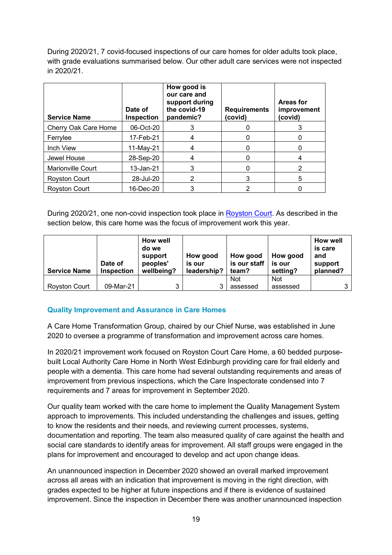During 2020/21, 7 covid-focused inspections of our care homes for older adults took place, with grade evaluations summarised below. Our other adult care services were not inspected in 2020/21.

| <b>Service Name</b>  | Date of<br>Inspection | How good is<br>our care and<br>support during<br>the covid-19<br>pandemic? | <b>Requirements</b><br>(covid) | Areas for<br>improvement<br>(covid) |
|----------------------|-----------------------|----------------------------------------------------------------------------|--------------------------------|-------------------------------------|
| Cherry Oak Care Home | 06-Oct-20             |                                                                            |                                | 3                                   |
| Ferrylee             | 17-Feb-21             | 4                                                                          |                                |                                     |
| Inch View            | 11-May-21             |                                                                            |                                |                                     |
| Jewel House          | 28-Sep-20             |                                                                            |                                |                                     |
| Marionville Court    | 13-Jan-21             |                                                                            |                                | 2                                   |
| <b>Royston Court</b> | 28-Jul-20             | 2                                                                          | 3                              | 5                                   |
| <b>Royston Court</b> | 16-Dec-20             |                                                                            | 2                              |                                     |

During 2020/21, one non-covid inspection took place in [Royston Court.](https://www.careinspectorate.com/berengCareservices/html/reports/getPdfBlob.php?id=308799) As described in the section below, this care home was the focus of improvement work this year.

| <b>Service Name</b>  | Date of<br><b>Inspection</b> | <b>How well</b><br>do we<br>support<br>peoples'<br>wellbeing? | How good<br>is our<br>leadership? | How good<br>is our staff $ $<br>team? | How good<br>is our<br>setting? | <b>How well</b><br>is care<br>and<br>support<br>planned? |
|----------------------|------------------------------|---------------------------------------------------------------|-----------------------------------|---------------------------------------|--------------------------------|----------------------------------------------------------|
|                      |                              |                                                               |                                   | Not                                   | <b>Not</b>                     |                                                          |
| <b>Royston Court</b> | 09-Mar-21                    | 3                                                             | ◠                                 | assessed                              | assessed                       | 3                                                        |

#### **Quality Improvement and Assurance in Care Homes**

A Care Home Transformation Group, chaired by our Chief Nurse, was established in June 2020 to oversee a programme of transformation and improvement across care homes.

In 2020/21 improvement work focused on Royston Court Care Home, a 60 bedded purposebuilt Local Authority Care Home in North West Edinburgh providing care for frail elderly and people with a dementia. This care home had several outstanding requirements and areas of improvement from previous inspections, which the Care Inspectorate condensed into 7 requirements and 7 areas for improvement in September 2020.

Our quality team worked with the care home to implement the Quality Management System approach to improvements. This included understanding the challenges and issues, getting to know the residents and their needs, and reviewing current processes, systems, documentation and reporting. The team also measured quality of care against the health and social care standards to identify areas for improvement. All staff groups were engaged in the plans for improvement and encouraged to develop and act upon change ideas.

An unannounced inspection in December 2020 showed an overall marked improvement across all areas with an indication that improvement is moving in the right direction, with grades expected to be higher at future inspections and if there is evidence of sustained improvement. Since the inspection in December there was another unannounced inspection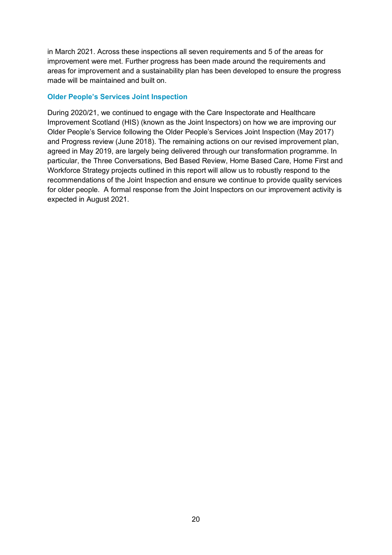in March 2021. Across these inspections all seven requirements and 5 of the areas for improvement were met. Further progress has been made around the requirements and areas for improvement and a sustainability plan has been developed to ensure the progress made will be maintained and built on.

#### **Older People's Services Joint Inspection**

During 2020/21, we continued to engage with the Care Inspectorate and Healthcare Improvement Scotland (HIS) (known as the Joint Inspectors) on how we are improving our Older People's Service following the Older People's Services Joint Inspection (May 2017) and Progress review (June 2018). The remaining actions on our revised improvement plan, agreed in May 2019, are largely being delivered through our transformation programme. In particular, the Three Conversations, Bed Based Review, Home Based Care, Home First and Workforce Strategy projects outlined in this report will allow us to robustly respond to the recommendations of the Joint Inspection and ensure we continue to provide quality services for older people. A formal response from the Joint Inspectors on our improvement activity is expected in August 2021.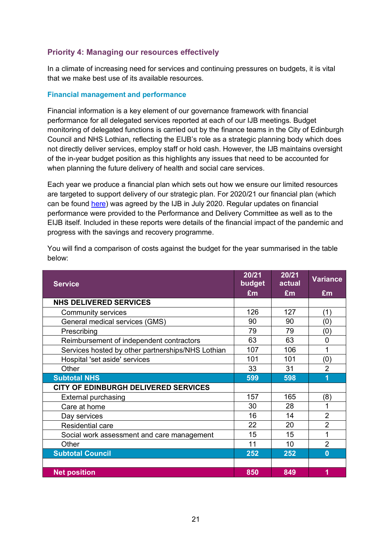#### <span id="page-24-0"></span>**Priority 4: Managing our resources effectively**

In a climate of increasing need for services and continuing pressures on budgets, it is vital that we make best use of its available resources.

#### <span id="page-24-2"></span>**Financial management and performance**

<span id="page-24-1"></span>Financial information is a key element of our governance framework with financial performance for all delegated services reported at each of our IJB meetings. Budget monitoring of delegated functions is carried out by the finance teams in the City of Edinburgh Council and NHS Lothian, reflecting the EIJB's role as a strategic planning body which does not directly deliver services, employ staff or hold cash. However, the IJB maintains oversight of the in-year budget position as this highlights any issues that need to be accounted for when planning the future delivery of health and social care services.

Each year we produce a financial plan which sets out how we ensure our limited resources are targeted to support delivery of our strategic plan. For 2020/21 our financial plan (which can be found [here\)](https://democracy.edinburgh.gov.uk/documents/s24795/Item%207.3%20-%202020-21%20Financial%20Plan.pdf) was agreed by the IJB in July 2020. Regular updates on financial performance were provided to the Performance and Delivery Committee as well as to the EIJB itself. Included in these reports were details of the financial impact of the pandemic and progress with the savings and recovery programme.

| <b>Service</b>                                    | 20/21<br>budget | 20/21<br>actual | <b>Variance</b> |
|---------------------------------------------------|-----------------|-----------------|-----------------|
|                                                   | £m              | £m              | £m              |
| <b>NHS DELIVERED SERVICES</b>                     |                 |                 |                 |
| Community services                                | 126             | 127             | (1)             |
| General medical services (GMS)                    | 90              | 90              | (0)             |
| Prescribing                                       | 79              | 79              | (0)             |
| Reimbursement of independent contractors          | 63              | 63              | $\Omega$        |
| Services hosted by other partnerships/NHS Lothian | 107             | 106             | 1               |
| Hospital 'set aside' services                     | 101             | 101             | (0)             |
| Other                                             | 33              | 31              | $\overline{2}$  |
| <b>Subtotal NHS</b>                               | 599             | 598             | 1               |
| CITY OF EDINBURGH DELIVERED SERVICES              |                 |                 |                 |
| <b>External purchasing</b>                        | 157             | 165             | (8)             |
| Care at home                                      | 30              | 28              | 1               |
| Day services                                      | 16              | 14              | $\overline{2}$  |
| <b>Residential care</b>                           | 22              | 20              | $\overline{2}$  |
| Social work assessment and care management        | 15              | 15              | 1               |
| Other                                             | 11              | 10              | $\overline{2}$  |
| <b>Subtotal Council</b>                           | 252             | 252             | $\bf{0}$        |
|                                                   |                 |                 |                 |
| <b>Net position</b>                               | 850             | 849             | 1               |

You will find a comparison of costs against the budget for the year summarised in the table below: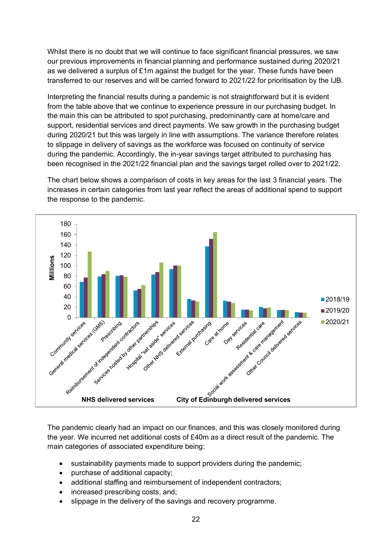Whilst there is no doubt that we will continue to face significant financial pressures, we saw our previous improvements in financial planning and performance sustained during 2020/21 as we delivered a surplus of  $£1m$  against the budget for the year. These funds have been transferred to our reserves and will be carried forward to 2021/22 for prioritisation by the IJB.

Interpreting the financial results during a pandemic is not straightforward but it is evident from the table above that we continue to experience pressure in our purchasing budget. In the main this can be attributed to spot purchasing, predominantly care at home/care and support, residential services and direct payments. We saw growth in the purchasing budget during 2020/21 but this was largely in line with assumptions. The variance therefore relates to slippage in delivery of savings as the workforce was focused on continuity of service during the pandemic. Accordingly, the in-year savings target attributed to purchasing has been recognised in the 2021/22 financial plan and the savings target rolled over to 2021/22.

The chart below shows a comparison of costs in key areas for the last 3 financial years. The increases in certain categories from last year reflect the areas of additional spend to support the response to the pandemic.



The pandemic clearly had an impact on our finances, and this was closely monitored during the year. We incurred net additional costs of £40m as a direct result of the pandemic. The main categories of associated expenditure being:

- sustainability payments made to support providers during the pandemic;
- purchase of additional capacity;
- additional staffing and reimbursement of independent contractors;
- increased prescribing costs, and;
- slippage in the delivery of the savings and recovery programme.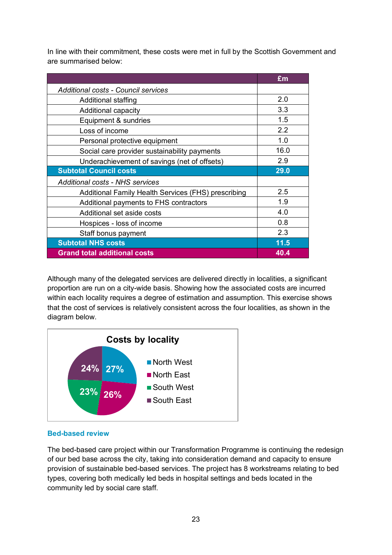In line with their commitment, these costs were met in full by the Scottish Government and are summarised below:

|                                                     | £m   |
|-----------------------------------------------------|------|
| Additional costs - Council services                 |      |
| Additional staffing                                 | 2.0  |
| Additional capacity                                 | 3.3  |
| Equipment & sundries                                | 1.5  |
| Loss of income                                      | 2.2  |
| Personal protective equipment                       | 1.0  |
| Social care provider sustainability payments        | 16.0 |
| Underachievement of savings (net of offsets)        | 2.9  |
| <b>Subtotal Council costs</b>                       | 29.0 |
| <b>Additional costs - NHS services</b>              |      |
| Additional Family Health Services (FHS) prescribing | 2.5  |
| Additional payments to FHS contractors              | 1.9  |
| Additional set aside costs                          | 4.0  |
| Hospices - loss of income                           | 0.8  |
| Staff bonus payment                                 | 2.3  |
| <b>Subtotal NHS costs</b>                           | 11.5 |
| <b>Grand total additional costs</b>                 | 40.4 |

Although many of the delegated services are delivered directly in localities, a significant proportion are run on a city-wide basis. Showing how the associated costs are incurred within each locality requires a degree of estimation and assumption. This exercise shows that the cost of services is relatively consistent across the four localities, as shown in the diagram below.



#### **Bed-based review**

The bed-based care project within our Transformation Programme is continuing the redesign of our bed base across the city, taking into consideration demand and capacity to ensure provision of sustainable bed-based services. The project has 8 workstreams relating to bed types, covering both medically led beds in hospital settings and beds located in the community led by social care staff.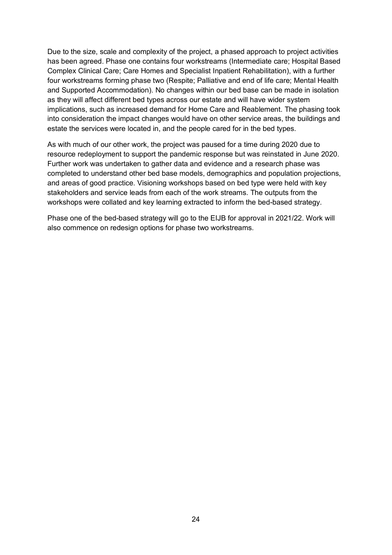Due to the size, scale and complexity of the project, a phased approach to project activities has been agreed. Phase one contains four workstreams (Intermediate care; Hospital Based Complex Clinical Care; Care Homes and Specialist Inpatient Rehabilitation), with a further four workstreams forming phase two (Respite; Palliative and end of life care; Mental Health and Supported Accommodation). No changes within our bed base can be made in isolation as they will affect different bed types across our estate and will have wider system implications, such as increased demand for Home Care and Reablement. The phasing took into consideration the impact changes would have on other service areas, the buildings and estate the services were located in, and the people cared for in the bed types.

As with much of our other work, the project was paused for a time during 2020 due to resource redeployment to support the pandemic response but was reinstated in June 2020. Further work was undertaken to gather data and evidence and a research phase was completed to understand other bed base models, demographics and population projections, and areas of good practice. Visioning workshops based on bed type were held with key stakeholders and service leads from each of the work streams. The outputs from the workshops were collated and key learning extracted to inform the bed-based strategy.

Phase one of the bed-based strategy will go to the EIJB for approval in 2021/22. Work will also commence on redesign options for phase two workstreams.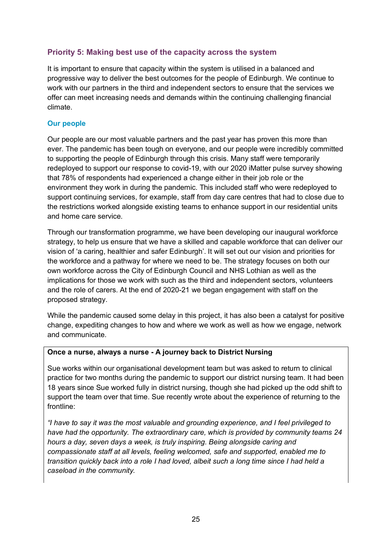#### <span id="page-28-0"></span>**Priority 5: Making best use of the capacity across the system**

It is important to ensure that capacity within the system is utilised in a balanced and progressive way to deliver the best outcomes for the people of Edinburgh. We continue to work with our partners in the third and independent sectors to ensure that the services we offer can meet increasing needs and demands within the continuing challenging financial climate.

#### <span id="page-28-1"></span>**Our people**

Our people are our most valuable partners and the past year has proven this more than ever. The pandemic has been tough on everyone, and our people were incredibly committed to supporting the people of Edinburgh through this crisis. Many staff were temporarily redeployed to support our response to covid-19, with our 2020 iMatter pulse survey showing that 78% of respondents had experienced a change either in their job role or the environment they work in during the pandemic. This included staff who were redeployed to support continuing services, for example, staff from day care centres that had to close due to the restrictions worked alongside existing teams to enhance support in our residential units and home care service.

Through our transformation programme, we have been developing our inaugural workforce strategy, to help us ensure that we have a skilled and capable workforce that can deliver our vision of 'a caring, healthier and safer Edinburgh'. It will set out our vision and priorities for the workforce and a pathway for where we need to be. The strategy focuses on both our own workforce across the City of Edinburgh Council and NHS Lothian as well as the implications for those we work with such as the third and independent sectors, volunteers and the role of carers. At the end of 2020-21 we began engagement with staff on the proposed strategy.

While the pandemic caused some delay in this project, it has also been a catalyst for positive change, expediting changes to how and where we work as well as how we engage, network and communicate.

#### **Once a nurse, always a nurse - A journey back to District Nursing**

Sue works within our organisational development team but was asked to return to clinical practice for two months during the pandemic to support our district nursing team. It had been 18 years since Sue worked fully in district nursing, though she had picked up the odd shift to support the team over that time. Sue recently wrote about the experience of returning to the frontline:

*"I have to say it was the most valuable and grounding experience, and I feel privileged to have had the opportunity. The extraordinary care, which is provided by community teams 24 hours a day, seven days a week, is truly inspiring. Being alongside caring and compassionate staff at all levels, feeling welcomed, safe and supported, enabled me to transition quickly back into a role I had loved, albeit such a long time since I had held a caseload in the community.*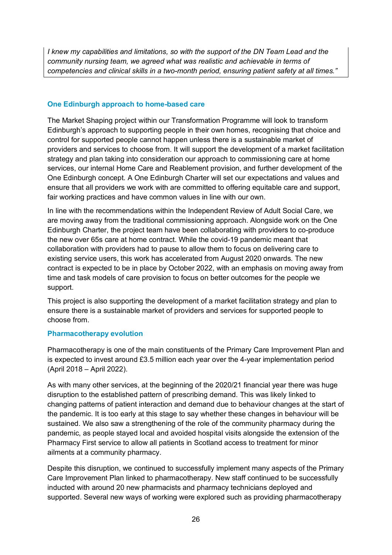*I knew my capabilities and limitations, so with the support of the DN Team Lead and the community nursing team, we agreed what was realistic and achievable in terms of competencies and clinical skills in a two-month period, ensuring patient safety at all times."*

#### <span id="page-29-0"></span>**One Edinburgh approach to home-based care**

The Market Shaping project within our Transformation Programme will look to transform Edinburgh's approach to supporting people in their own homes, recognising that choice and control for supported people cannot happen unless there is a sustainable market of providers and services to choose from. It will support the development of a market facilitation strategy and plan taking into consideration our approach to commissioning care at home services, our internal Home Care and Reablement provision, and further development of the One Edinburgh concept. A One Edinburgh Charter will set our expectations and values and ensure that all providers we work with are committed to offering equitable care and support, fair working practices and have common values in line with our own.

In line with the recommendations within the Independent Review of Adult Social Care, we are moving away from the traditional commissioning approach. Alongside work on the One Edinburgh Charter, the project team have been collaborating with providers to co-produce the new over 65s care at home contract. While the covid-19 pandemic meant that collaboration with providers had to pause to allow them to focus on delivering care to existing service users, this work has accelerated from August 2020 onwards. The new contract is expected to be in place by October 2022, with an emphasis on moving away from time and task models of care provision to focus on better outcomes for the people we support.

This project is also supporting the development of a market facilitation strategy and plan to ensure there is a sustainable market of providers and services for supported people to choose from.

#### **Pharmacotherapy evolution**

Pharmacotherapy is one of the main constituents of the Primary Care Improvement Plan and is expected to invest around £3.5 million each year over the 4-year implementation period (April 2018 – April 2022).

As with many other services, at the beginning of the 2020/21 financial year there was huge disruption to the established pattern of prescribing demand. This was likely linked to changing patterns of patient interaction and demand due to behaviour changes at the start of the pandemic. It is too early at this stage to say whether these changes in behaviour will be sustained. We also saw a strengthening of the role of the community pharmacy during the pandemic, as people stayed local and avoided hospital visits alongside the extension of the Pharmacy First service to allow all patients in Scotland access to treatment for minor ailments at a community pharmacy.

Despite this disruption, we continued to successfully implement many aspects of the Primary Care Improvement Plan linked to pharmacotherapy. New staff continued to be successfully inducted with around 20 new pharmacists and pharmacy technicians deployed and supported. Several new ways of working were explored such as providing pharmacotherapy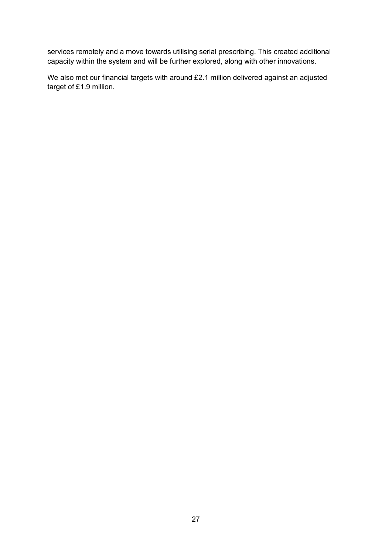services remotely and a move towards utilising serial prescribing. This created additional capacity within the system and will be further explored, along with other innovations.

We also met our financial targets with around £2.1 million delivered against an adjusted target of £1.9 million.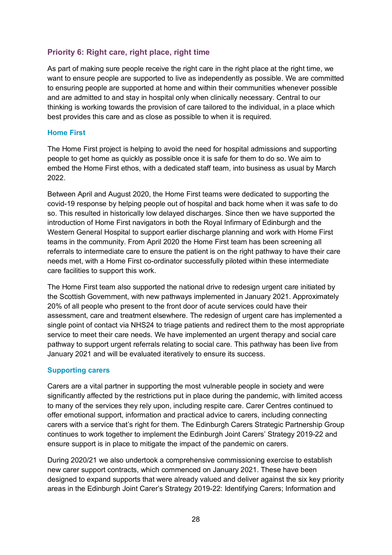#### <span id="page-31-0"></span>**Priority 6: Right care, right place, right time**

As part of making sure people receive the right care in the right place at the right time, we want to ensure people are supported to live as independently as possible. We are committed to ensuring people are supported at home and within their communities whenever possible and are admitted to and stay in hospital only when clinically necessary. Central to our thinking is working towards the provision of care tailored to the individual, in a place which best provides this care and as close as possible to when it is required.

#### <span id="page-31-1"></span>**Home First**

The Home First project is helping to avoid the need for hospital admissions and supporting people to get home as quickly as possible once it is safe for them to do so. We aim to embed the Home First ethos, with a dedicated staff team, into business as usual by March 2022.

Between April and August 2020, the Home First teams were dedicated to supporting the covid-19 response by helping people out of hospital and back home when it was safe to do so. This resulted in historically low delayed discharges. Since then we have supported the introduction of Home First navigators in both the Royal Infirmary of Edinburgh and the Western General Hospital to support earlier discharge planning and work with Home First teams in the community. From April 2020 the Home First team has been screening all referrals to intermediate care to ensure the patient is on the right pathway to have their care needs met, with a Home First co-ordinator successfully piloted within these intermediate care facilities to support this work.

The Home First team also supported the national drive to redesign urgent care initiated by the Scottish Government, with new pathways implemented in January 2021. Approximately 20% of all people who present to the front door of acute services could have their assessment, care and treatment elsewhere. The redesign of urgent care has implemented a single point of contact via NHS24 to triage patients and redirect them to the most appropriate service to meet their care needs. We have implemented an urgent therapy and social care pathway to support urgent referrals relating to social care. This pathway has been live from January 2021 and will be evaluated iteratively to ensure its success.

#### <span id="page-31-2"></span>**Supporting carers**

Carers are a vital partner in supporting the most vulnerable people in society and were significantly affected by the restrictions put in place during the pandemic, with limited access to many of the services they rely upon, including respite care. Carer Centres continued to offer emotional support, information and practical advice to carers, including connecting carers with a service that's right for them. The Edinburgh Carers Strategic Partnership Group continues to work together to implement the Edinburgh Joint Carers' Strategy 2019-22 and ensure support is in place to mitigate the impact of the pandemic on carers.

During 2020/21 we also undertook a comprehensive commissioning exercise to establish new carer support contracts, which commenced on January 2021. These have been designed to expand supports that were already valued and deliver against the six key priority areas in the Edinburgh Joint Carer's Strategy 2019-22: Identifying Carers; Information and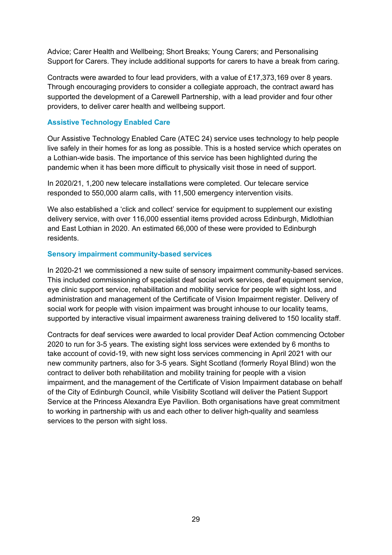Advice; Carer Health and Wellbeing; Short Breaks; Young Carers; and Personalising Support for Carers. They include additional supports for carers to have a break from caring.

Contracts were awarded to four lead providers, with a value of £17,373,169 over 8 years. Through encouraging providers to consider a collegiate approach, the contract award has supported the development of a Carewell Partnership, with a lead provider and four other providers, to deliver carer health and wellbeing support.

#### **Assistive Technology Enabled Care**

Our Assistive Technology Enabled Care (ATEC 24) service uses technology to help people live safely in their homes for as long as possible. This is a hosted service which operates on a Lothian-wide basis. The importance of this service has been highlighted during the pandemic when it has been more difficult to physically visit those in need of support.

In 2020/21, 1,200 new telecare installations were completed. Our telecare service responded to 550,000 alarm calls, with 11,500 emergency intervention visits.

We also established a 'click and collect' service for equipment to supplement our existing delivery service, with over 116,000 essential items provided across Edinburgh, Midlothian and East Lothian in 2020. An estimated 66,000 of these were provided to Edinburgh residents.

#### **Sensory impairment community-based services**

In 2020-21 we commissioned a new suite of sensory impairment community-based services. This included commissioning of specialist deaf social work services, deaf equipment service, eye clinic support service, rehabilitation and mobility service for people with sight loss, and administration and management of the Certificate of Vision Impairment register. Delivery of social work for people with vision impairment was brought inhouse to our locality teams, supported by interactive visual impairment awareness training delivered to 150 locality staff.

Contracts for deaf services were awarded to local provider Deaf Action commencing October 2020 to run for 3-5 years. The existing sight loss services were extended by 6 months to take account of covid-19, with new sight loss services commencing in April 2021 with our new community partners, also for 3-5 years. Sight Scotland (formerly Royal Blind) won the contract to deliver both rehabilitation and mobility training for people with a vision impairment, and the management of the Certificate of Vision Impairment database on behalf of the City of Edinburgh Council, while Visibility Scotland will deliver the Patient Support Service at the Princess Alexandra Eye Pavilion. Both organisations have great commitment to working in partnership with us and each other to deliver high-quality and seamless services to the person with sight loss.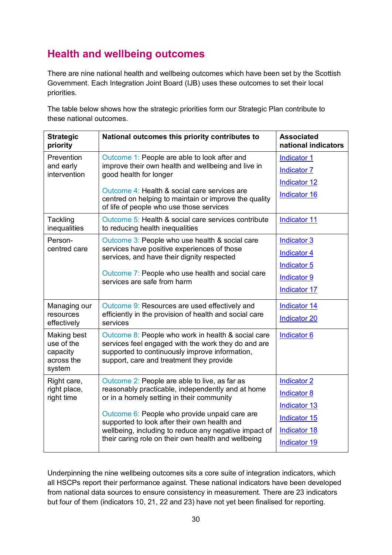## <span id="page-33-0"></span>**Health and wellbeing outcomes**

There are nine national health and wellbeing outcomes which have been set by the Scottish Government. Each Integration Joint Board (IJB) uses these outcomes to set their local priorities.

The table below shows how the strategic priorities form our Strategic Plan contribute to these national outcomes.

| <b>Strategic</b><br>priority                                  | National outcomes this priority contributes to                                                                                                                                                                                                                                                                                                                   | <b>Associated</b><br>national indicators                                                                               |
|---------------------------------------------------------------|------------------------------------------------------------------------------------------------------------------------------------------------------------------------------------------------------------------------------------------------------------------------------------------------------------------------------------------------------------------|------------------------------------------------------------------------------------------------------------------------|
| Prevention<br>and early<br>intervention                       | Outcome 1: People are able to look after and<br>improve their own health and wellbeing and live in<br>good health for longer                                                                                                                                                                                                                                     | <b>Indicator 1</b><br><b>Indicator 7</b>                                                                               |
|                                                               | Outcome 4: Health & social care services are<br>centred on helping to maintain or improve the quality<br>of life of people who use those services                                                                                                                                                                                                                | <b>Indicator 12</b><br><b>Indicator 16</b>                                                                             |
| Tackling<br>inequalities                                      | Outcome 5: Health & social care services contribute<br>to reducing health inequalities                                                                                                                                                                                                                                                                           | <b>Indicator 11</b>                                                                                                    |
| Person-<br>centred care                                       | Outcome 3: People who use health & social care<br>services have positive experiences of those<br>services, and have their dignity respected<br>Outcome 7: People who use health and social care<br>services are safe from harm                                                                                                                                   | <b>Indicator 3</b><br><b>Indicator 4</b><br>Indicator 5<br><b>Indicator 9</b><br><b>Indicator 17</b>                   |
| Managing our<br>resources<br>effectively                      | Outcome 9: Resources are used effectively and<br>efficiently in the provision of health and social care<br>services                                                                                                                                                                                                                                              | <b>Indicator 14</b><br><b>Indicator 20</b>                                                                             |
| Making best<br>use of the<br>capacity<br>across the<br>system | Outcome 8: People who work in health & social care<br>services feel engaged with the work they do and are<br>supported to continuously improve information,<br>support, care and treatment they provide                                                                                                                                                          | Indicator 6                                                                                                            |
| Right care,<br>right place,<br>right time                     | Outcome 2: People are able to live, as far as<br>reasonably practicable, independently and at home<br>or in a homely setting in their community<br>Outcome 6: People who provide unpaid care are<br>supported to look after their own health and<br>wellbeing, including to reduce any negative impact of<br>their caring role on their own health and wellbeing | <b>Indicator 2</b><br><b>Indicator 8</b><br><b>Indicator 13</b><br>Indicator 15<br><b>Indicator 18</b><br>Indicator 19 |

Underpinning the nine wellbeing outcomes sits a core suite of integration indicators, which all HSCPs report their performance against. These national indicators have been developed from national data sources to ensure consistency in measurement. There are 23 indicators but four of them (indicators 10, 21, 22 and 23) have not yet been finalised for reporting.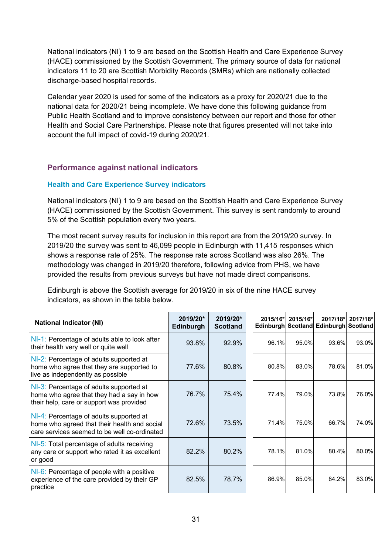National indicators (NI) 1 to 9 are based on the Scottish Health and Care Experience Survey (HACE) commissioned by the Scottish Government. The primary source of data for national indicators 11 to 20 are Scottish Morbidity Records (SMRs) which are nationally collected discharge-based hospital records.

Calendar year 2020 is used for some of the indicators as a proxy for 2020/21 due to the national data for 2020/21 being incomplete. We have done this following guidance from Public Health Scotland and to improve consistency between our report and those for other Health and Social Care Partnerships. Please note that figures presented will not take into account the full impact of covid-19 during 2020/21.

#### <span id="page-34-0"></span>**Performance against national indicators**

#### <span id="page-34-1"></span>**Health and Care Experience Survey indicators**

National indicators (NI) 1 to 9 are based on the Scottish Health and Care Experience Survey (HACE) commissioned by the Scottish Government. This survey is sent randomly to around 5% of the Scottish population every two years.

The most recent survey results for inclusion in this report are from the 2019/20 survey. In 2019/20 the survey was sent to 46,099 people in Edinburgh with 11,415 responses which shows a response rate of 25%. The response rate across Scotland was also 26%. The methodology was changed in 2019/20 therefore, following advice from PHS, we have provided the results from previous surveys but have not made direct comparisons.

Edinburgh is above the Scottish average for 2019/20 in six of the nine HACE survey indicators, as shown in the table below.

| <b>National Indicator (NI)</b>                                                                                                          | 2019/20*<br>Edinburgh | 2019/20*<br><b>Scotland</b> | 2015/16* | 2015/16* | 2017/18*<br>Edinburgh Scotland Edinburgh Scotland | 2017/18* |
|-----------------------------------------------------------------------------------------------------------------------------------------|-----------------------|-----------------------------|----------|----------|---------------------------------------------------|----------|
| NI-1: Percentage of adults able to look after<br>their health very well or quite well                                                   | 93.8%                 | 92.9%                       | 96.1%    | 95.0%    | 93.6%                                             | 93.0%    |
| NI-2: Percentage of adults supported at<br>home who agree that they are supported to<br>live as independently as possible               | 77.6%                 | 80.8%                       | 80.8%    | 83.0%    | 78.6%                                             | 81.0%    |
| NI-3: Percentage of adults supported at<br>home who agree that they had a say in how<br>their help, care or support was provided        | 76.7%                 | 75.4%                       | 77.4%    | 79.0%    | 73.8%                                             | 76.0%    |
| NI-4: Percentage of adults supported at<br>home who agreed that their health and social<br>care services seemed to be well co-ordinated | 72.6%                 | 73.5%                       | 71.4%    | 75.0%    | 66.7%                                             | 74.0%    |
| NI-5: Total percentage of adults receiving<br>any care or support who rated it as excellent<br>or good                                  | 82.2%                 | 80.2%                       | 78.1%    | 81.0%    | 80.4%                                             | 80.0%    |
| NI-6: Percentage of people with a positive<br>experience of the care provided by their GP<br>practice                                   | 82.5%                 | 78.7%                       | 86.9%    | 85.0%    | 84.2%                                             | 83.0%    |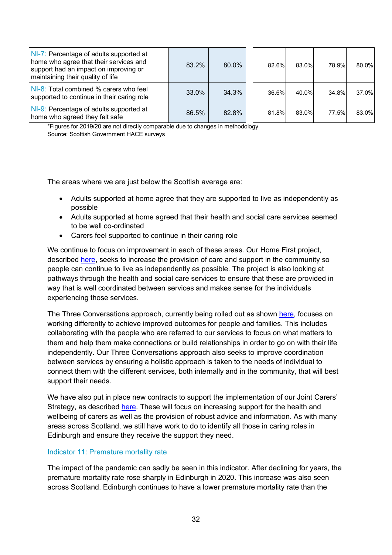| NI-7: Percentage of adults supported at<br>home who agree that their services and<br>support had an impact on improving or<br>maintaining their quality of life | 83.2% | 80.0% | 82.6% | 83.0% | 78.9% | 80.0% |
|-----------------------------------------------------------------------------------------------------------------------------------------------------------------|-------|-------|-------|-------|-------|-------|
| NI-8: Total combined % carers who feel<br>supported to continue in their caring role                                                                            | 33.0% | 34.3% | 36.6% | 40.0% | 34.8% | 37.0% |
| NI-9: Percentage of adults supported at<br>home who agreed they felt safe                                                                                       | 86.5% | 82.8% | 81.8% | 83.0% | 77.5% | 83.0% |

\*Figures for 2019/20 are not directly comparable due to changes in methodology Source: Scottish Government HACE surveys

The areas where we are just below the Scottish average are:

- Adults supported at home agree that they are supported to live as independently as possible
- Adults supported at home agreed that their health and social care services seemed to be well co-ordinated
- Carers feel supported to continue in their caring role

We continue to focus on improvement in each of these areas. Our Home First project, described [here,](#page-31-1) seeks to increase the provision of care and support in the community so people can continue to live as independently as possible. The project is also looking at pathways through the health and social care services to ensure that these are provided in way that is well coordinated between services and makes sense for the individuals experiencing those services.

The Three Conversations approach, currently being rolled out as shown [here,](#page-21-1) focuses on working differently to achieve improved outcomes for people and families. This includes collaborating with the people who are referred to our services to focus on what matters to them and help them make connections or build relationships in order to go on with their life independently. Our Three Conversations approach also seeks to improve coordination between services by ensuring a holistic approach is taken to the needs of individual to connect them with the different services, both internally and in the community, that will best support their needs.

We have also put in place new contracts to support the implementation of our Joint Carers' Strategy, as described [here.](#page-31-2) These will focus on increasing support for the health and wellbeing of carers as well as the provision of robust advice and information. As with many areas across Scotland, we still have work to do to identify all those in caring roles in Edinburgh and ensure they receive the support they need.

#### <span id="page-35-0"></span>Indicator 11: Premature mortality rate

The impact of the pandemic can sadly be seen in this indicator. After declining for years, the premature mortality rate rose sharply in Edinburgh in 2020. This increase was also seen across Scotland. Edinburgh continues to have a lower premature mortality rate than the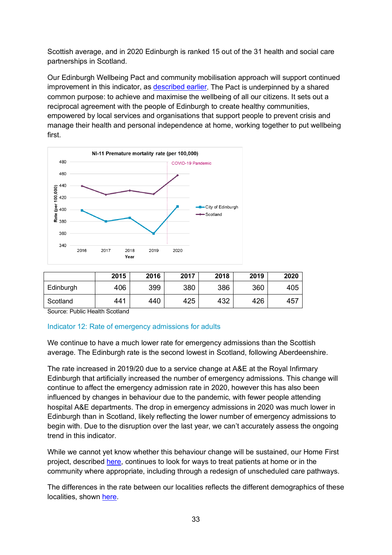Scottish average, and in 2020 Edinburgh is ranked 15 out of the 31 health and social care partnerships in Scotland.

Our Edinburgh Wellbeing Pact and community mobilisation approach will support continued improvement in this indicator, as [described earlier.](#page-15-2) The Pact is underpinned by a shared common purpose: to achieve and maximise the wellbeing of all our citizens. It sets out a reciprocal agreement with the people of Edinburgh to create healthy communities, empowered by local services and organisations that support people to prevent crisis and manage their health and personal independence at home, working together to put wellbeing first.



|           | 2015 | 2016 | 2017 | 2018 | 2019 | 2020 |
|-----------|------|------|------|------|------|------|
| Edinburgh | 406  | 399  | 380  | 386  | 360  | 405  |
| Scotland  | 441  | 440  | 425  | 432  | 426  | 457  |

Source: Public Health Scotland

#### <span id="page-36-0"></span>Indicator 12: Rate of emergency admissions for adults

We continue to have a much lower rate for emergency admissions than the Scottish average. The Edinburgh rate is the second lowest in Scotland, following Aberdeenshire.

The rate increased in 2019/20 due to a service change at A&E at the Royal Infirmary Edinburgh that artificially increased the number of emergency admissions. This change will continue to affect the emergency admission rate in 2020, however this has also been influenced by changes in behaviour due to the pandemic, with fewer people attending hospital A&E departments. The drop in emergency admissions in 2020 was much lower in Edinburgh than in Scotland, likely reflecting the lower number of emergency admissions to begin with. Due to the disruption over the last year, we can't accurately assess the ongoing trend in this indicator.

While we cannot yet know whether this behaviour change will be sustained, our Home First project, described [here,](#page-31-1) continues to look for ways to treat patients at home or in the community where appropriate, including through a redesign of unscheduled care pathways.

The differences in the rate between our localities reflects the different demographics of these localities, shown [here.](#page-7-3)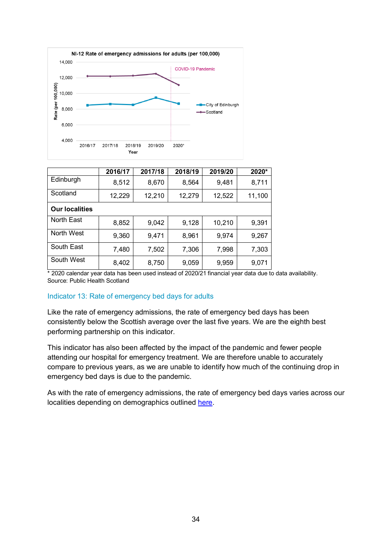

|                       | 2016/17 | 2017/18 | 2018/19 | 2019/20 | 2020*  |
|-----------------------|---------|---------|---------|---------|--------|
| Edinburgh             | 8,512   | 8,670   | 8,564   | 9,481   | 8,711  |
| Scotland              | 12,229  | 12,210  | 12,279  | 12,522  | 11,100 |
| <b>Our localities</b> |         |         |         |         |        |
| North East            | 8,852   | 9,042   | 9,128   | 10,210  | 9,391  |
| North West            | 9,360   | 9,471   | 8,961   | 9,974   | 9,267  |
| South East            | 7,480   | 7,502   | 7,306   | 7,998   | 7,303  |
| South West            | 8,402   | 8,750   | 9,059   | 9,959   | 9,071  |

#### <span id="page-37-0"></span>Indicator 13: Rate of emergency bed days for adults

Like the rate of emergency admissions, the rate of emergency bed days has been consistently below the Scottish average over the last five years. We are the eighth best performing partnership on this indicator.

This indicator has also been affected by the impact of the pandemic and fewer people attending our hospital for emergency treatment. We are therefore unable to accurately compare to previous years, as we are unable to identify how much of the continuing drop in emergency bed days is due to the pandemic.

As with the rate of emergency admissions, the rate of emergency bed days varies across our localities depending on demographics outlined [here.](#page-7-3)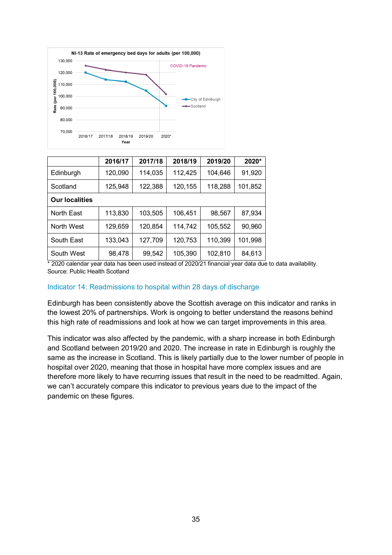

|                       | 2016/17 | 2017/18 | 2018/19 | 2019/20 | 2020*   |  |
|-----------------------|---------|---------|---------|---------|---------|--|
| Edinburgh             | 120,090 | 114,035 | 112,425 | 104,646 | 91,920  |  |
| Scotland              | 125,948 | 122,388 | 120,155 | 118,288 | 101,852 |  |
| <b>Our localities</b> |         |         |         |         |         |  |
| North East            | 113,830 | 103,505 | 106,451 | 98,567  | 87,934  |  |
| North West            | 129,659 | 120,854 | 114,742 | 105,552 | 90,960  |  |
| South East            | 133,043 | 127,709 | 120,753 | 110,399 | 101,998 |  |
| South West            | 98,478  | 99,542  | 105,390 | 102,810 | 84,613  |  |

#### <span id="page-38-0"></span>Indicator 14: Readmissions to hospital within 28 days of discharge

Edinburgh has been consistently above the Scottish average on this indicator and ranks in the lowest 20% of partnerships. Work is ongoing to better understand the reasons behind this high rate of readmissions and look at how we can target improvements in this area.

This indicator was also affected by the pandemic, with a sharp increase in both Edinburgh and Scotland between 2019/20 and 2020. The increase in rate in Edinburgh is roughly the same as the increase in Scotland. This is likely partially due to the lower number of people in hospital over 2020, meaning that those in hospital have more complex issues and are therefore more likely to have recurring issues that result in the need to be readmitted. Again, we can't accurately compare this indicator to previous years due to the impact of the pandemic on these figures.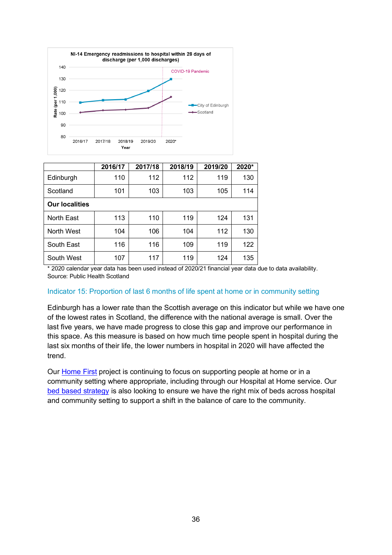

|                       | 2016/17 | 2017/18 | 2018/19 | 2019/20 | 2020* |
|-----------------------|---------|---------|---------|---------|-------|
| Edinburgh             | 110     | 112     | 112     | 119     | 130   |
| Scotland              | 101     | 103     | 103     | 105     | 114   |
| <b>Our localities</b> |         |         |         |         |       |
| North East            | 113     | 110     | 119     | 124     | 131   |
| North West            | 104     | 106     | 104     | 112     | 130   |
| South East            | 116     | 116     | 109     | 119     | 122   |
| South West            | 107     | 117     | 119     | 124     | 135   |

#### <span id="page-39-0"></span>Indicator 15: Proportion of last 6 months of life spent at home or in community setting

Edinburgh has a lower rate than the Scottish average on this indicator but while we have one of the lowest rates in Scotland, the difference with the national average is small. Over the last five years, we have made progress to close this gap and improve our performance in this space. As this measure is based on how much time people spent in hospital during the last six months of their life, the lower numbers in hospital in 2020 will have affected the trend.

Our [Home First](#page-31-1) project is continuing to focus on supporting people at home or in a community setting where appropriate, including through our Hospital at Home service. Our [bed based strategy](#page-24-1) is also looking to ensure we have the right mix of beds across hospital and community setting to support a shift in the balance of care to the community.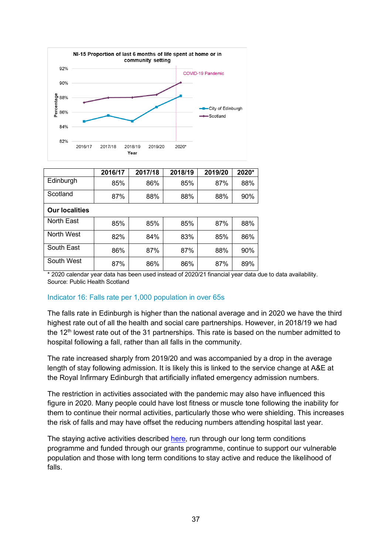

|                       | 2016/17 | 2017/18 | 2018/19 | 2019/20 | 2020* |
|-----------------------|---------|---------|---------|---------|-------|
| Edinburgh             | 85%     | 86%     | 85%     | 87%     | 88%   |
| Scotland              | 87%     | 88%     | 88%     | 88%     | 90%   |
| <b>Our localities</b> |         |         |         |         |       |
| North East            | 85%     | 85%     | 85%     | 87%     | 88%   |
| North West            | 82%     | 84%     | 83%     | 85%     | 86%   |
| South East            | 86%     | 87%     | 87%     | 88%     | 90%   |
| South West            | 87%     | 86%     | 86%     | 87%     | 89%   |

#### <span id="page-40-0"></span>Indicator 16: Falls rate per 1,000 population in over 65s

The falls rate in Edinburgh is higher than the national average and in 2020 we have the third highest rate out of all the health and social care partnerships. However, in 2018/19 we had the 12<sup>th</sup> lowest rate out of the 31 partnerships. This rate is based on the number admitted to hospital following a fall, rather than all falls in the community.

The rate increased sharply from 2019/20 and was accompanied by a drop in the average length of stay following admission. It is likely this is linked to the service change at A&E at the Royal Infirmary Edinburgh that artificially inflated emergency admission numbers.

The restriction in activities associated with the pandemic may also have influenced this figure in 2020. Many people could have lost fitness or muscle tone following the inability for them to continue their normal activities, particularly those who were shielding. This increases the risk of falls and may have offset the reducing numbers attending hospital last year.

The staying active activities described [here,](#page-11-0) run through our long term conditions programme and funded through our grants programme, continue to support our vulnerable population and those with long term conditions to stay active and reduce the likelihood of falls.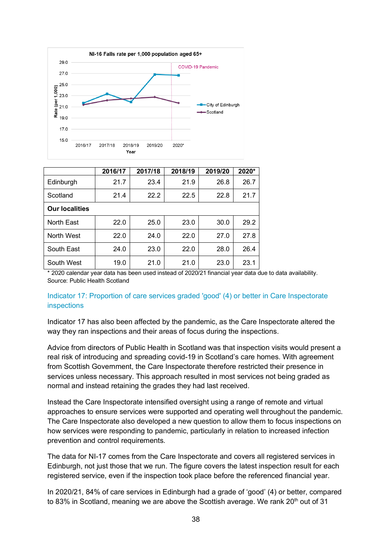

|                       | 2016/17 | 2017/18 | 2018/19 | 2019/20 | 2020* |
|-----------------------|---------|---------|---------|---------|-------|
| Edinburgh             | 21.7    | 23.4    | 21.9    | 26.8    | 26.7  |
| Scotland              | 21.4    | 22.2    | 22.5    | 22.8    | 21.7  |
| <b>Our localities</b> |         |         |         |         |       |
| North East            | 22.0    | 25.0    | 23.0    | 30.0    | 29.2  |
| North West            | 22.0    | 24.0    | 22.0    | 27.0    | 27.8  |
| South East            | 24.0    | 23.0    | 22.0    | 28.0    | 26.4  |
| South West            | 19.0    | 21.0    | 21.0    | 23.0    | 23.1  |

#### <span id="page-41-0"></span>Indicator 17: Proportion of care services graded 'good' (4) or better in Care Inspectorate inspections

Indicator 17 has also been affected by the pandemic, as the Care Inspectorate altered the way they ran inspections and their areas of focus during the inspections.

Advice from directors of Public Health in Scotland was that inspection visits would present a real risk of introducing and spreading covid-19 in Scotland's care homes. With agreement from Scottish Government, the Care Inspectorate therefore restricted their presence in services unless necessary. This approach resulted in most services not being graded as normal and instead retaining the grades they had last received.

Instead the Care Inspectorate intensified oversight using a range of remote and virtual approaches to ensure services were supported and operating well throughout the pandemic. The Care Inspectorate also developed a new question to allow them to focus inspections on how services were responding to pandemic, particularly in relation to increased infection prevention and control requirements.

The data for NI-17 comes from the Care Inspectorate and covers all registered services in Edinburgh, not just those that we run. The figure covers the latest inspection result for each registered service, even if the inspection took place before the referenced financial year.

In 2020/21, 84% of care services in Edinburgh had a grade of 'good' (4) or better, compared to 83% in Scotland, meaning we are above the Scottish average. We rank  $20<sup>th</sup>$  out of 31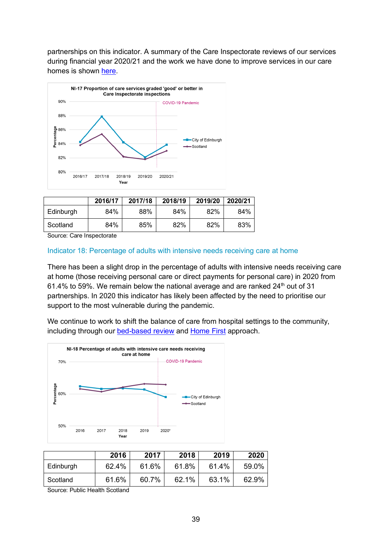partnerships on this indicator. A summary of the Care Inspectorate reviews of our services during financial year 2020/21 and the work we have done to improve services in our care homes is shown [here.](#page-21-2)



|           | 2016/17 | 2017/18 | 2018/19 | 2019/20 | 2020/21 |
|-----------|---------|---------|---------|---------|---------|
| Edinburgh | 84%     | 88%     | 84%     | 82%     | 84%     |
| Scotland  | 84%     | 85%     | 82%     | 82%     | 83%     |

Source: Care Inspectorate

#### <span id="page-42-0"></span>Indicator 18: Percentage of adults with intensive needs receiving care at home

There has been a slight drop in the percentage of adults with intensive needs receiving care at home (those receiving personal care or direct payments for personal care) in 2020 from 61.4% to 59%. We remain below the national average and are ranked  $24<sup>th</sup>$  out of 31 partnerships. In 2020 this indicator has likely been affected by the need to prioritise our support to the most vulnerable during the pandemic.

We continue to work to shift the balance of care from hospital settings to the community, including through our [bed-based](#page-24-1) review and [Home First](#page-31-1) approach.



|           | 2016  | 2017  | 2018  | 2019  | 2020  |
|-----------|-------|-------|-------|-------|-------|
| Edinburgh | 62.4% | 61.6% | 61.8% | 61.4% | 59.0% |
| Scotland  | 61.6% | 60.7% | 62.1% | 63.1% | 62.9% |

Source: Public Health Scotland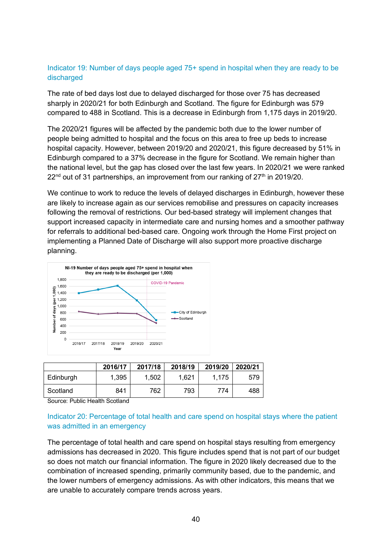#### <span id="page-43-1"></span>Indicator 19: Number of days people aged 75+ spend in hospital when they are ready to be discharged

The rate of bed days lost due to delayed discharged for those over 75 has decreased sharply in 2020/21 for both Edinburgh and Scotland. The figure for Edinburgh was 579 compared to 488 in Scotland. This is a decrease in Edinburgh from 1,175 days in 2019/20.

The 2020/21 figures will be affected by the pandemic both due to the lower number of people being admitted to hospital and the focus on this area to free up beds to increase hospital capacity. However, between 2019/20 and 2020/21, this figure decreased by 51% in Edinburgh compared to a 37% decrease in the figure for Scotland. We remain higher than the national level, but the gap has closed over the last few years. In 2020/21 we were ranked  $22<sup>nd</sup>$  out of 31 partnerships, an improvement from our ranking of  $27<sup>th</sup>$  in 2019/20.

We continue to work to reduce the levels of delayed discharges in Edinburgh, however these are likely to increase again as our services remobilise and pressures on capacity increases following the removal of restrictions. Our bed-based strategy will implement changes that support increased capacity in intermediate care and nursing homes and a smoother pathway for referrals to additional bed-based care. Ongoing work through the Home First project on implementing a Planned Date of Discharge will also support more proactive discharge planning.



|           | 2016/17 | 2017/18 | 2018/19 | 2019/20 | 2020/21 |
|-----------|---------|---------|---------|---------|---------|
| Edinburgh | 1,395   | 1.502   | 1,621   | 1.175   | 579     |
| Scotland  | 841     | 762,    | 793     | 774     | 488     |

Source: Public Health Scotland

#### <span id="page-43-0"></span>Indicator 20: Percentage of total health and care spend on hospital stays where the patient was admitted in an emergency

The percentage of total health and care spend on hospital stays resulting from emergency admissions has decreased in 2020. This figure includes spend that is not part of our budget so does not match our financial information. The figure in 2020 likely decreased due to the combination of increased spending, primarily community based, due to the pandemic, and the lower numbers of emergency admissions. As with other indicators, this means that we are unable to accurately compare trends across years.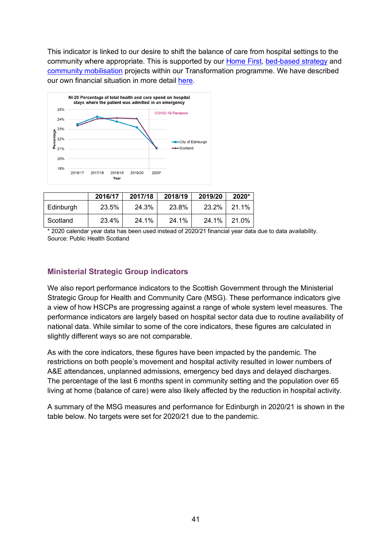This indicator is linked to our desire to shift the balance of care from hospital settings to the community where appropriate. This is supported by our [Home First,](#page-31-1) [bed-based strategy](#page-24-1) and [community mobilisation](#page-15-2) projects within our Transformation programme. We have described our own financial situation in more detail [here.](#page-24-2)



|           | 2016/17 | 2017/18 | 2018/19 | 2019/20 | 2020* |
|-----------|---------|---------|---------|---------|-------|
| Edinburgh | 23.5%   | 24.3%   | 23.8%   | 23.2%   | 21.1% |
| Scotland  | 23.4%   | 24.1%   | 24.1%   | 24.1%   | 21.0% |

<sup>\* 2020</sup> calendar year data has been used instead of 2020/21 financial year data due to data availability. Source: Public Health Scotland

#### <span id="page-44-0"></span>**Ministerial Strategic Group indicators**

We also report performance indicators to the Scottish Government through the Ministerial Strategic Group for Health and Community Care (MSG). These performance indicators give a view of how HSCPs are progressing against a range of whole system level measures. The performance indicators are largely based on hospital sector data due to routine availability of national data. While similar to some of the core indicators, these figures are calculated in slightly different ways so are not comparable.

As with the core indicators, these figures have been impacted by the pandemic. The restrictions on both people's movement and hospital activity resulted in lower numbers of A&E attendances, unplanned admissions, emergency bed days and delayed discharges. The percentage of the last 6 months spent in community setting and the population over 65 living at home (balance of care) were also likely affected by the reduction in hospital activity.

A summary of the MSG measures and performance for Edinburgh in 2020/21 is shown in the table below. No targets were set for 2020/21 due to the pandemic.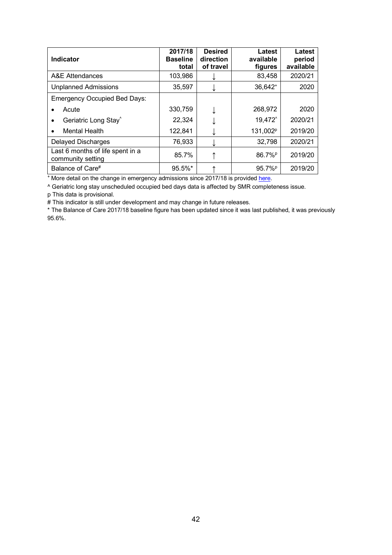| <b>Indicator</b>                                      | 2017/18<br><b>Baseline</b><br>total | <b>Desired</b><br>direction<br>of travel | Latest<br>available<br>figures | Latest<br>period<br>available |
|-------------------------------------------------------|-------------------------------------|------------------------------------------|--------------------------------|-------------------------------|
| A&E Attendances                                       | 103,986                             |                                          | 83,458                         | 2020/21                       |
| <b>Unplanned Admissions</b>                           | 35,597                              |                                          | 36,642 <sup>+</sup>            | 2020                          |
| <b>Emergency Occupied Bed Days:</b>                   |                                     |                                          |                                |                               |
| Acute                                                 | 330,759                             |                                          | 268,972                        | 2020                          |
| Geriatric Long Stay <sup>^</sup>                      | 22,324                              |                                          | 19,472                         | 2020/21                       |
| <b>Mental Health</b>                                  | 122,841                             |                                          | 131,002 <sup>p</sup>           | 2019/20                       |
| <b>Delayed Discharges</b>                             | 76,933                              |                                          | 32,798                         | 2020/21                       |
| Last 6 months of life spent in a<br>community setting | 85.7%                               |                                          | 86.7% <sup>P</sup>             | 2019/20                       |
| Balance of Care#                                      | $95.5\%$ *                          |                                          | 95.7% <sup>P</sup>             | 2019/20                       |

<sup>+</sup> More detail on the change in emergency admissions since 2017/18 is provided [here.](#page-36-0)

^ Geriatric long stay unscheduled occupied bed days data is affected by SMR completeness issue.

p This data is provisional.

# This indicator is still under development and may change in future releases.

\* The Balance of Care 2017/18 baseline figure has been updated since it was last published, it was previously 95.6%.